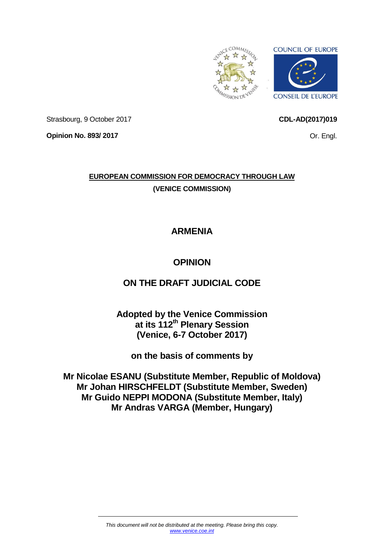

**CDL-AD(2017)019**

Or. Engl.

Strasbourg, 9 October 2017

**Opinion No. 893/ 2017**

**EUROPEAN COMMISSION FOR DEMOCRACY THROUGH LAW (VENICE COMMISSION)**

# **ARMENIA**

# **OPINION**

# **ON THE DRAFT JUDICIAL CODE**

**Adopted by the Venice Commission at its 112th Plenary Session (Venice, 6-7 October 2017)**

**on the basis of comments by**

**Mr Nicolae ESANU (Substitute Member, Republic of Moldova) Mr Johan HIRSCHFELDT (Substitute Member, Sweden) Mr Guido NEPPI MODONA (Substitute Member, Italy) Mr Andras VARGA (Member, Hungary)**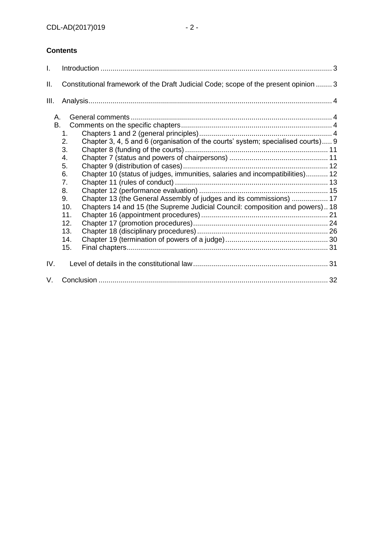# **Contents**

| I.       |                                                                                                                                                                                                                                                                                                                                                                                                                         |  |
|----------|-------------------------------------------------------------------------------------------------------------------------------------------------------------------------------------------------------------------------------------------------------------------------------------------------------------------------------------------------------------------------------------------------------------------------|--|
| ΙΙ.      | Constitutional framework of the Draft Judicial Code; scope of the present opinion  3                                                                                                                                                                                                                                                                                                                                    |  |
| III.     |                                                                                                                                                                                                                                                                                                                                                                                                                         |  |
| Α.<br>В. | 1.<br>Chapter 3, 4, 5 and 6 (organisation of the courts' system; specialised courts) 9<br>2.<br>3.<br>4.<br>5.<br>Chapter 10 (status of judges, immunities, salaries and incompatibilities) 12<br>6.<br>7.<br>8.<br>Chapter 13 (the General Assembly of judges and its commissions)  17<br>9.<br>Chapters 14 and 15 (the Supreme Judicial Council: composition and powers) 18<br>10.<br>11.<br>12.<br>13.<br>14.<br>15. |  |
| IV.      |                                                                                                                                                                                                                                                                                                                                                                                                                         |  |
| V.       |                                                                                                                                                                                                                                                                                                                                                                                                                         |  |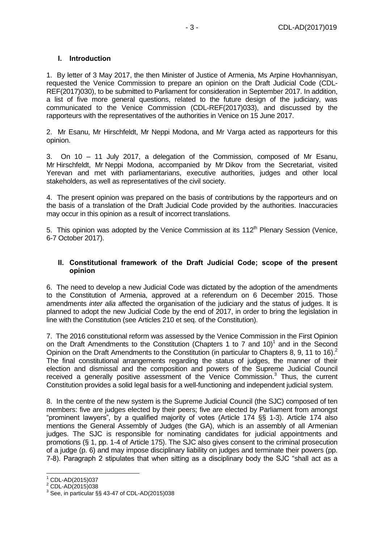#### <span id="page-2-0"></span>**I. Introduction**

1. By letter of 3 May 2017, the then Minister of Justice of Armenia, Ms Arpine Hovhannisyan, requested the Venice Commission to prepare an opinion on the Draft Judicial Code (CDL-REF(2017)030), to be submitted to Parliament for consideration in September 2017. In addition, a list of five more general questions, related to the future design of the judiciary, was communicated to the Venice Commission (CDL-REF(2017)033), and discussed by the rapporteurs with the representatives of the authorities in Venice on 15 June 2017.

2. Mr Esanu, Mr Hirschfeldt, Mr Neppi Modona, and Mr Varga acted as rapporteurs for this opinion.

3. On 10 – 11 July 2017, a delegation of the Commission, composed of Mr Esanu, Mr Hirschfeldt, Mr Neppi Modona, accompanied by Mr Dikov from the Secretariat, visited Yerevan and met with parliamentarians, executive authorities, judges and other local stakeholders, as well as representatives of the civil society.

4. The present opinion was prepared on the basis of contributions by the rapporteurs and on the basis of a translation of the Draft Judicial Code provided by the authorities. Inaccuracies may occur in this opinion as a result of incorrect translations.

5. This opinion was adopted by the Venice Commission at its  $112<sup>th</sup>$  Plenary Session (Venice, 6-7 October 2017).

#### <span id="page-2-1"></span>**II. Constitutional framework of the Draft Judicial Code; scope of the present opinion**

6. The need to develop a new Judicial Code was dictated by the adoption of the amendments to the Constitution of Armenia, approved at a referendum on 6 December 2015. Those amendments *inter alia* affected the organisation of the judiciary and the status of judges. It is planned to adopt the new Judicial Code by the end of 2017, in order to bring the legislation in line with the Constitution (see Articles 210 et seq. of the Constitution).

7. The 2016 constitutional reform was assessed by the Venice Commission in the First Opinion on the Draft Amendments to the Constitution (Chapters 1 to 7 and 10)<sup>1</sup> and in the Second Opinion on the Draft Amendments to the Constitution (in particular to Chapters 8, 9, 11 to 16).<sup>2</sup> The final constitutional arrangements regarding the status of judges, the manner of their election and dismissal and the composition and powers of the Supreme Judicial Council received a generally positive assessment of the Venice Commission. $3$  Thus, the current Constitution provides a solid legal basis for a well-functioning and independent judicial system.

8. In the centre of the new system is the Supreme Judicial Council (the SJC) composed of ten members: five are judges elected by their peers; five are elected by Parliament from amongst "prominent lawyers", by a qualified majority of votes (Article 174 §§ 1-3). Article 174 also mentions the General Assembly of Judges (the GA), which is an assembly of all Armenian judges. The SJC is responsible for nominating candidates for judicial appointments and promotions (§ 1, pp. 1-4 of Article 175). The SJC also gives consent to the criminal prosecution of a judge (p. 6) and may impose disciplinary liability on judges and terminate their powers (pp. 7-8). Paragraph 2 stipulates that when sitting as a disciplinary body the SJC "shall act as a

-

<sup>1</sup> CDL-AD(2015)037

<sup>2</sup> CDL-AD(2015)038

 $3$  See, in particular §§ 43-47 of CDL-AD(2015)038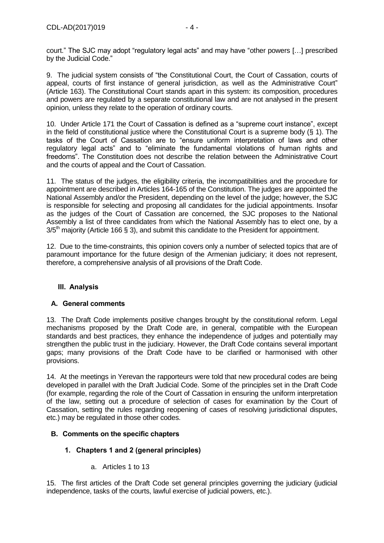9. The judicial system consists of "the Constitutional Court, the Court of Cassation, courts of appeal, courts of first instance of general jurisdiction, as well as the Administrative Court" (Article 163). The Constitutional Court stands apart in this system: its composition, procedures and powers are regulated by a separate constitutional law and are not analysed in the present opinion, unless they relate to the operation of ordinary courts.

10. Under Article 171 the Court of Cassation is defined as a "supreme court instance", except in the field of constitutional justice where the Constitutional Court is a supreme body  $(8 1)$ . The tasks of the Court of Cassation are to "ensure uniform interpretation of laws and other regulatory legal acts" and to "eliminate the fundamental violations of human rights and freedoms". The Constitution does not describe the relation between the Administrative Court and the courts of appeal and the Court of Cassation.

11. The status of the judges, the eligibility criteria, the incompatibilities and the procedure for appointment are described in Articles 164-165 of the Constitution. The judges are appointed the National Assembly and/or the President, depending on the level of the judge; however, the SJC is responsible for selecting and proposing all candidates for the judicial appointments. Insofar as the judges of the Court of Cassation are concerned, the SJC proposes to the National Assembly a list of three candidates from which the National Assembly has to elect one, by a  $3/5<sup>th</sup>$  majority (Article 166 § 3), and submit this candidate to the President for appointment.

12. Due to the time-constraints, this opinion covers only a number of selected topics that are of paramount importance for the future design of the Armenian judiciary; it does not represent, therefore, a comprehensive analysis of all provisions of the Draft Code.

# <span id="page-3-0"></span>**III. Analysis**

# <span id="page-3-1"></span>**A. General comments**

13. The Draft Code implements positive changes brought by the constitutional reform. Legal mechanisms proposed by the Draft Code are, in general, compatible with the European standards and best practices, they enhance the independence of judges and potentially may strengthen the public trust in the judiciary. However, the Draft Code contains several important gaps; many provisions of the Draft Code have to be clarified or harmonised with other provisions.

14. At the meetings in Yerevan the rapporteurs were told that new procedural codes are being developed in parallel with the Draft Judicial Code. Some of the principles set in the Draft Code (for example, regarding the role of the Court of Cassation in ensuring the uniform interpretation of the law, setting out a procedure of selection of cases for examination by the Court of Cassation, setting the rules regarding reopening of cases of resolving jurisdictional disputes, etc.) may be regulated in those other codes.

# <span id="page-3-3"></span><span id="page-3-2"></span>**B. Comments on the specific chapters**

# **1. Chapters 1 and 2 (general principles)**

a. Articles 1 to 13

15. The first articles of the Draft Code set general principles governing the judiciary (judicial independence, tasks of the courts, lawful exercise of judicial powers, etc.).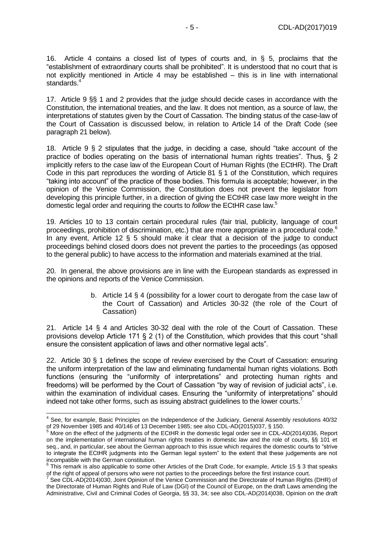16. Article 4 contains a closed list of types of courts and, in § 5, proclaims that the "establishment of extraordinary courts shall be prohibited". It is understood that no court that is not explicitly mentioned in Article 4 may be established – this is in line with international standards.<sup>4</sup>

17. Article 9 §§ 1 and 2 provides that the judge should decide cases in accordance with the Constitution, the international treaties, and the law. It does not mention, as a source of law, the interpretations of statutes given by the Court of Cassation. The binding status of the case-law of the Court of Cassation is discussed below, in relation to Article 14 of the Draft Code (see paragrap[h 21](#page-4-0) below).

18. Article 9 § 2 stipulates that the judge, in deciding a case, should "take account of the practice of bodies operating on the basis of international human rights treaties". Thus, § 2 implicitly refers to the case law of the European Court of Human Rights (the ECtHR). The Draft Code in this part reproduces the wording of Article 81 § 1 of the Constitution, which requires "taking into account" of the practice of those bodies. This formula is acceptable; however, in the opinion of the Venice Commission, the Constitution does not prevent the legislator from developing this principle further, in a direction of giving the ECtHR case law more weight in the domestic legal order and requiring the courts to *follow* the ECtHR case law. 5

19. Articles 10 to 13 contain certain procedural rules (fair trial, publicity, language of court proceedings, prohibition of discrimination, etc.) that are more appropriate in a procedural code.<sup>6</sup> In any event, Article 12 § 5 should make it clear that a decision of the judge to conduct proceedings behind closed doors does not prevent the parties to the proceedings (as opposed to the general public) to have access to the information and materials examined at the trial.

20. In general, the above provisions are in line with the European standards as expressed in the opinions and reports of the Venice Commission.

> b. Article 14 § 4 (possibility for a lower court to derogate from the case law of the Court of Cassation) and Articles 30-32 (the role of the Court of Cassation)

<span id="page-4-0"></span>21. Article 14 § 4 and Articles 30-32 deal with the role of the Court of Cassation. These provisions develop Article 171 § 2 (1) of the Constitution, which provides that this court "shall ensure the consistent application of laws and other normative legal acts".

22. Article 30 § 1 defines the scope of review exercised by the Court of Cassation: ensuring the uniform interpretation of the law and eliminating fundamental human rights violations. Both functions (ensuring the "uniformity of interpretations" and protecting human rights and freedoms) will be performed by the Court of Cassation "by way of revision of judicial acts", i.e. within the examination of individual cases. Ensuring the "uniformity of interpretations" should indeed not take other forms, such as issuing abstract guidelines to the lower courts.<sup>7</sup>

 4 See, for example, Basic Principles on the Independence of the Judiciary, General Assembly resolutions 40/32 of 29 November 1985 and 40/146 of 13 December 1985; see also CDL-AD(2015)037, § 150.

<sup>&</sup>lt;sup>5</sup> More on the effect of the judgments of the ECtHR in the domestic legal order see in CDL-AD(2014)036, Report on the implementation of international human rights treaties in domestic law and the role of courts, §§ 101 et seq., and, in particular, see about the German approach to this issue which requires the domestic courts to "strive to integrate the ECtHR judgments into the German legal system" to the extent that these judgements are not incompatible with the German constitution.<br><sup>6</sup> This remark is also applicable to some other Articles of the Draft Code, for example, Article 15 § 3 that speaks

of the right of appeal of persons who were not parties to the proceedings before the first instance court.<br><sup>7</sup> See CDL AD(2014)020, leint Oninian of the Vanice Commission and the Directorate of Human Dights

See CDL-AD(2014)030, Joint Opinion of the Venice Commission and the Directorate of Human Rights (DHR) of the Directorate of Human Rights and Rule of Law (DGI) of the Council of Europe, on the draft Laws amending the Administrative, Civil and Criminal Codes of Georgia, §§ 33, 34; see also CDL-AD(2014)038, Opinion on the draft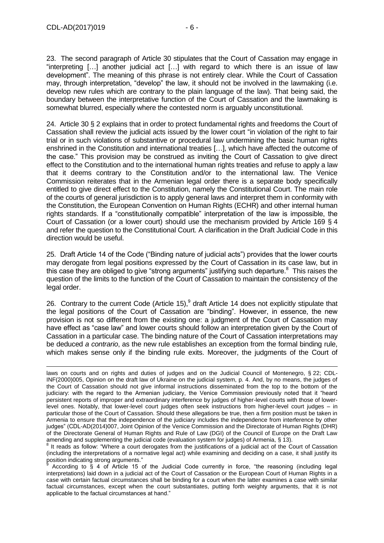23. The second paragraph of Article 30 stipulates that the Court of Cassation may engage in "interpreting […] another judicial act […] with regard to which there is an issue of law development". The meaning of this phrase is not entirely clear. While the Court of Cassation may, through interpretation, "develop" the law, it should not be involved in the lawmaking (i.e. develop new rules which are contrary to the plain language of the law). That being said, the boundary between the interpretative function of the Court of Cassation and the lawmaking is somewhat blurred, especially where the contested norm is arguably unconstitutional.

24. Article 30 § 2 explains that in order to protect fundamental rights and freedoms the Court of Cassation shall review the judicial acts issued by the lower court "in violation of the right to fair trial or in such violations of substantive or procedural law undermining the basic human rights enshrined in the Constitution and international treaties […], which have affected the outcome of the case." This provision may be construed as inviting the Court of Cassation to give direct effect to the Constitution and to the international human rights treaties and refuse to apply a law that it deems contrary to the Constitution and/or to the international law. The Venice Commission reiterates that in the Armenian legal order there is a separate body specifically entitled to give direct effect to the Constitution, namely the Constitutional Court. The main role of the courts of general jurisdiction is to apply general laws and interpret them in conformity with the Constitution, the European Convention on Human Rights (ECHR) and other internal human rights standards. If a "constitutionally compatible" interpretation of the law is impossible, the Court of Cassation (or a lower court) should use the mechanism provided by Article 169 § 4 and refer the question to the Constitutional Court. A clarification in the Draft Judicial Code in this direction would be useful.

25. Draft Article 14 of the Code ("Binding nature of judicial acts") provides that the lower courts may derogate from legal positions expressed by the Court of Cassation in its case law, but in this case they are obliged to give "strong arguments" justifying such departure. $8\text{ This raises the}$ question of the limits to the function of the Court of Cassation to maintain the consistency of the legal order.

26. Contrary to the current Code (Article 15),  $9$  draft Article 14 does not explicitly stipulate that the legal positions of the Court of Cassation are "binding". However, in essence, the new provision is not so different from the existing one: a judgment of the Court of Cassation may have effect as "case law" and lower courts should follow an interpretation given by the Court of Cassation in a particular case. The binding nature of the Court of Cassation interpretations may be deduced *a contrario*, as the new rule establishes an exception from the formal binding rule, which makes sense only if the binding rule exits. Moreover, the judgments of the Court of

laws on courts and on rights and duties of judges and on the Judicial Council of Montenegro, § 22; CDL-INF(2000)005, Opinion on the draft law of Ukraine on the judicial system, p. 4. And, by no means, the judges of the Court of Cassation should not give informal instructions disseminated from the top to the bottom of the judiciary: with the regard to the Armenian judiciary, the Venice Commission previously noted that it "heard persistent reports of improper and extraordinary interference by judges of higher-level courts with those of lowerlevel ones. Notably, that lower-level court judges often seek instructions from higher-level court judges – in particular those of the Court of Cassation. Should these allegations be true, then a firm position must be taken in Armenia to ensure that the independence of the judiciary includes the independence from interference by other judges" (CDL-AD(2014)007, Joint Opinion of the Venice Commission and the Directorate of Human Rights (DHR) of the Directorate General of Human Rights and Rule of Law (DGI) of the Council of Europe on the Draft Law amending and supplementing the judicial code (evaluation system for judges) of Armenia, § 13).<br><sup>8</sup> It reads as follow: "Where a sourt deregate from the justifications of a judicial ast of the C

It reads as follow: "Where a court derogates from the justifications of a judicial act of the Court of Cassation (including the interpretations of a normative legal act) while examining and deciding on a case, it shall justify its position indicating strong arguments."

According to § 4 of Article 15 of the Judicial Code currently in force, "the reasoning (including legal interpretations) laid down in a judicial act of the Court of Cassation or the European Court of Human Rights in a case with certain factual circumstances shall be binding for a court when the latter examines a case with similar factual circumstances, except when the court substantiates, putting forth weighty arguments, that it is not applicable to the factual circumstances at hand."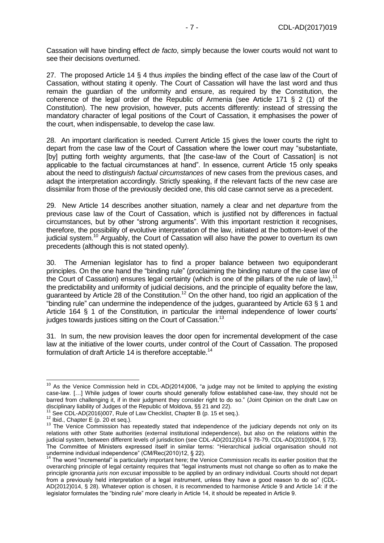Cassation will have binding effect *de facto*, simply because the lower courts would not want to see their decisions overturned.

27. The proposed Article 14 § 4 thus *implies* the binding effect of the case law of the Court of Cassation, without stating it openly. The Court of Cassation will have the last word and thus remain the guardian of the uniformity and ensure, as required by the Constitution, the coherence of the legal order of the Republic of Armenia (see Article 171 § 2 (1) of the Constitution). The new provision, however, puts accents differently: instead of stressing the mandatory character of legal positions of the Court of Cassation, it emphasises the power of the court, when indispensable, to develop the case law.

28. An important clarification is needed. Current Article 15 gives the lower courts the right to depart from the case law of the Court of Cassation where the lower court may "substantiate, [by] putting forth weighty arguments, that [the case-law of the Court of Cassation] is not applicable to the factual circumstances at hand". In essence, current Article 15 only speaks about the need to *distinguish factual circumstances* of new cases from the previous cases, and adapt the interpretation accordingly. Strictly speaking, if the relevant facts of the new case are dissimilar from those of the previously decided one, this old case cannot serve as a precedent.

29. New Article 14 describes another situation, namely a clear and net *departure* from the previous case law of the Court of Cassation, which is justified not by differences in factual circumstances, but by other "strong arguments". With this important restriction it recognises, therefore, the possibility of evolutive interpretation of the law, initiated at the bottom-level of the judicial system.<sup>10</sup> Arguably, the Court of Cassation will also have the power to overturn its own precedents (although this is not stated openly).

30. The Armenian legislator has to find a proper balance between two equiponderant principles. On the one hand the "binding rule" (proclaiming the binding nature of the case law of the Court of Cassation) ensures legal certainty (which is one of the pillars of the rule of law),<sup>11</sup> the predictability and uniformity of judicial decisions, and the principle of equality before the law, guaranteed by Article 28 of the Constitution.<sup>12</sup> On the other hand, too rigid an application of the "binding rule" can undermine the independence of the judges, guaranteed by Article 63 § 1 and Article 164 § 1 of the Constitution, in particular the internal independence of lower courts' judges towards justices sitting on the Court of Cassation.<sup>13</sup>

31. In sum, the new provision leaves the door open for incremental development of the case law at the initiative of the lower courts, under control of the Court of Cassation. The proposed formulation of draft Article 14 is therefore acceptable.<sup>14</sup>

-

 $10$  As the Venice Commission held in CDL-AD(2014)006, "a judge may not be limited to applying the existing case-law. […] While judges of lower courts should generally follow established case-law, they should not be barred from challenging it, if in their judgment they consider right to do so." (Joint Opinion on the draft Law on disciplinary liability of Judges of the Republic of Moldova, §§ 21 and 22).

 $1$  See CDL-AD(2016)007, Rule of Law Checklist, Chapter B (p. 15 et seq.).

 $12$  Ibid., Chapter E (p. 20 et seq.).

<sup>&</sup>lt;sup>13</sup> The Venice Commission has repeatedly stated that independence of the judiciary depends not only on its relations with other State authorities (external institutional independence), but also on the relations within the judicial system, between different levels of jurisdiction (see CDL-AD(2012)014 § 78-79, CDL-AD(2010)004, § 73). The Committee of Ministers expressed itself in similar terms: "Hierarchical judicial organisation should not undermine individual independence" (CM/Rec(2010)12, § 22).

<sup>14</sup> The word "incremental" is particularly important here; the Venice Commission recalls its earlier position that the overarching principle of legal certainty requires that "legal instruments must not change so often as to make the principle *ignorantia juris non excusat* impossible to be applied by an ordinary individual. Courts should not depart from a previously held interpretation of a legal instrument, unless they have a good reason to do so" (CDL-AD(2012)014, § 28). Whatever option is chosen, it is recommended to harmonise Article 9 and Article 14: if the legislator formulates the "binding rule" more clearly in Article 14, it should be repeated in Article 9.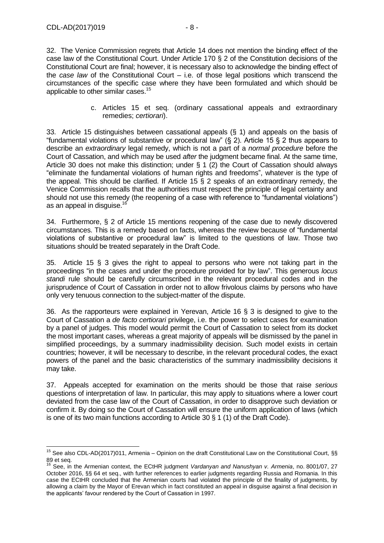32. The Venice Commission regrets that Article 14 does not mention the binding effect of the case law of the Constitutional Court. Under Article 170 § 2 of the Constitution decisions of the Constitutional Court are final; however, it is necessary also to acknowledge the binding effect of the *case law* of the Constitutional Court – i.e. of those legal positions which transcend the circumstances of the specific case where they have been formulated and which should be applicable to other similar cases.<sup>15</sup>

> c. Articles 15 et seq. (ordinary cassational appeals and extraordinary remedies; *certiorari*).

33. Article 15 distinguishes between cassational appeals (§ 1) and appeals on the basis of "fundamental violations of substantive or procedural law" (§ 2). Article 15 § 2 thus appears to describe an *extraordinary* legal remedy, which is not a part of a *normal procedure* before the Court of Cassation, and which may be used *after* the judgment became final. At the same time, Article 30 does not make this distinction; under § 1 (2) the Court of Cassation should always "eliminate the fundamental violations of human rights and freedoms", whatever is the type of the appeal. This should be clarified. If Article 15 § 2 speaks of an extraordinary remedy, the Venice Commission recalls that the authorities must respect the principle of legal certainty and should not use this remedy (the reopening of a case with reference to "fundamental violations") as an appeal in disquise.<sup>16</sup>

34. Furthermore, § 2 of Article 15 mentions reopening of the case due to newly discovered circumstances. This is a remedy based on facts, whereas the review because of "fundamental violations of substantive or procedural law" is limited to the questions of law. Those two situations should be treated separately in the Draft Code.

35. Article 15 § 3 gives the right to appeal to persons who were not taking part in the proceedings "in the cases and under the procedure provided for by law". This generous *locus standi* rule should be carefully circumscribed in the relevant procedural codes and in the jurisprudence of Court of Cassation in order not to allow frivolous claims by persons who have only very tenuous connection to the subject-matter of the dispute.

36. As the rapporteurs were explained in Yerevan, Article 16 § 3 is designed to give to the Court of Cassation a *de facto certiorari* privilege, i.e. the power to select cases for examination by a panel of judges. This model would permit the Court of Cassation to select from its docket the most important cases, whereas a great majority of appeals will be dismissed by the panel in simplified proceedings, by a summary inadmissibility decision. Such model exists in certain countries; however, it will be necessary to describe, in the relevant procedural codes, the exact powers of the panel and the basic characteristics of the summary inadmissibility decisions it may take.

37. Appeals accepted for examination on the merits should be those that raise *serious* questions of interpretation of law. In particular, this may apply to situations where a lower court deviated from the case law of the Court of Cassation, in order to disapprove such deviation or confirm it. By doing so the Court of Cassation will ensure the uniform application of laws (which is one of its two main functions according to Article 30 § 1 (1) of the Draft Code).

 $\overline{1}$ <sup>15</sup> See also CDL-AD(2017)011, Armenia – Opinion on the draft Constitutional Law on the Constitutional Court, §§ 89 et seq.

<sup>16</sup> See, in the Armenian context, the ECtHR judgment *Vardanyan and Nanushyan v. Armenia*, no. 8001/07, 27 October 2016, §§ 64 et seq., with further references to earlier judgments regarding Russia and Romania. In this case the ECtHR concluded that the Armenian courts had violated the principle of the finality of judgments, by allowing a claim by the Mayor of Erevan which in fact constituted an appeal in disguise against a final decision in the applicants' favour rendered by the Court of Cassation in 1997.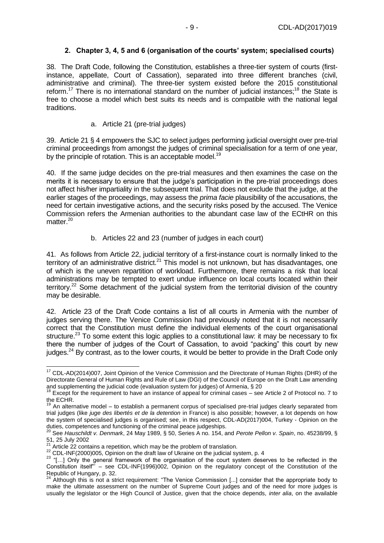# **2. Chapter 3, 4, 5 and 6 (organisation of the courts' system; specialised courts)**

<span id="page-8-0"></span>38. The Draft Code, following the Constitution, establishes a three-tier system of courts (firstinstance, appellate, Court of Cassation), separated into three different branches (civil, administrative and criminal). The three-tier system existed before the 2015 constitutional reform.<sup>17</sup> There is no international standard on the number of judicial instances;<sup>18</sup> the State is free to choose a model which best suits its needs and is compatible with the national legal traditions.

a. Article 21 (pre-trial judges)

39. Article 21 § 4 empowers the SJC to select judges performing judicial oversight over pre-trial criminal proceedings from amongst the judges of criminal specialisation for a term of one year, by the principle of rotation. This is an acceptable model.<sup>19</sup>

40. If the same judge decides on the pre-trial measures and then examines the case on the merits it is necessary to ensure that the judge's participation in the pre-trial proceedings does not affect his/her impartiality in the subsequent trial. That does not exclude that the judge, at the earlier stages of the proceedings, may assess the *prima facie* plausibility of the accusations, the need for certain investigative actions, and the security risks posed by the accused. The Venice Commission refers the Armenian authorities to the abundant case law of the ECtHR on this matter.<sup>20</sup>

b. Articles 22 and 23 (number of judges in each court)

41. As follows from Article 22, judicial territory of a first-instance court is normally linked to the territory of an administrative district.<sup>21</sup> This model is not unknown, but has disadvantages, one of which is the uneven repartition of workload. Furthermore, there remains a risk that local administrations may be tempted to exert undue influence on local courts located within their territory.<sup>22</sup> Some detachment of the judicial system from the territorial division of the country may be desirable.

42. Article 23 of the Draft Code contains a list of all courts in Armenia with the number of judges serving there. The Venice Commission had previously noted that it is not necessarily correct that the Constitution must define the individual elements of the court organisational structure.<sup>23</sup> To some extent this logic applies to a constitutional law: it may be necessary to fix there the number of judges of the Court of Cassation, to avoid "packing" this court by new judges.<sup>24</sup> By contrast, as to the lower courts, it would be better to provide in the Draft Code only

<sup>-</sup><sup>17</sup> CDL-AD(2014)007, Joint Opinion of the Venice Commission and the Directorate of Human Rights (DHR) of the Directorate General of Human Rights and Rule of Law (DGI) of the Council of Europe on the Draft Law amending and supplementing the judicial code (evaluation system for judges) of Armenia, § 20

<sup>&</sup>lt;sup>18</sup> Except for the requirement to have an instance of appeal for criminal cases – see Article 2 of Protocol no. 7 to the ECHR.

 $19$  An alternative model – to establish a permanent corpus of specialised pre-trial judges clearly separated from trial judges (like *juge des libertés et de la detention* in France) is also possible; however, a lot depends on how the system of specialised judges is organised; see, in this respect, CDL-AD(2017)004, Turkey - Opinion on the duties, competences and functioning of the criminal peace judgeships.

<sup>20</sup> See *Hauschildt v. Denmark*, 24 May 1989, § 50, Series A no. 154, and *Perote Pellon v. Spain*, no. 45238/99, § 51, 25 July 2002

Article 22 contains a repetition, which may be the problem of translation.

<sup>22</sup> CDL-INF(2000)005, Opinion on the draft law of Ukraine on the judicial system, p. 4

<sup>&</sup>lt;sup>23</sup> "[...] Only the general framework of the organisation of the court system deserves to be reflected in the Constitution itself"' – see CDL-INF(1996)002, Opinion on the regulatory concept of the Constitution of the Republic of Hungary, p. 32.

 $24$  Although this is not a strict requirement: "The Venice Commission [...] consider that the appropriate body to make the ultimate assessment on the number of Supreme Court judges and of the need for more judges is usually the legislator or the High Council of Justice, given that the choice depends, *inter alia*, on the available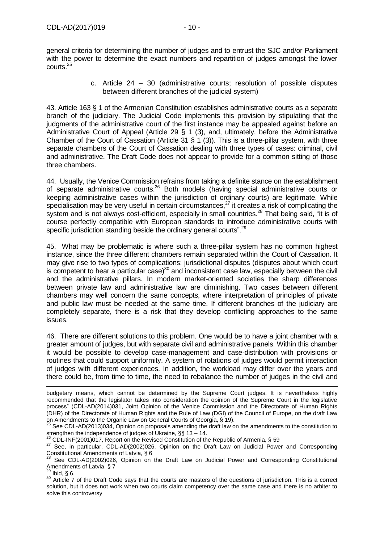general criteria for determining the number of judges and to entrust the SJC and/or Parliament with the power to determine the exact numbers and repartition of judges amongst the lower courts.<sup>25</sup>

> c. Article 24 – 30 (administrative courts; resolution of possible disputes between different branches of the judicial system)

43. Article 163 § 1 of the Armenian Constitution establishes administrative courts as a separate branch of the judiciary. The Judicial Code implements this provision by stipulating that the judgments of the administrative court of the first instance may be appealed against before an Administrative Court of Appeal (Article 29 § 1 (3), and, ultimately, before the Administrative Chamber of the Court of Cassation (Article 31 § 1 (3)). This is a three-pillar system, with three separate chambers of the Court of Cassation dealing with three types of cases: criminal, civil and administrative. The Draft Code does not appear to provide for a common sitting of those three chambers.

44. Usually, the Venice Commission refrains from taking a definite stance on the establishment of separate administrative courts.<sup>26</sup> Both models (having special administrative courts or keeping administrative cases within the jurisdiction of ordinary courts) are legitimate. While specialisation may be very useful in certain circumstances, $^{27}$  it creates a risk of complicating the system and is not always cost-efficient, especially in small countries.<sup>28</sup> That being said, "it is of course perfectly compatible with European standards to introduce administrative courts with specific jurisdiction standing beside the ordinary general courts".<sup>29</sup>

45. What may be problematic is where such a three-pillar system has no common highest instance, since the three different chambers remain separated within the Court of Cassation. It may give rise to two types of complications: jurisdictional disputes (disputes about which court is competent to hear a particular case) $30$  and inconsistent case law, especially between the civil and the administrative pillars. In modern market-oriented societies the sharp differences between private law and administrative law are diminishing. Two cases between different chambers may well concern the same concepts, where interpretation of principles of private and public law must be needed at the same time. If different branches of the judiciary are completely separate, there is a risk that they develop conflicting approaches to the same issues.

46. There are different solutions to this problem. One would be to have a joint chamber with a greater amount of judges, but with separate civil and administrative panels. Within this chamber it would be possible to develop case-management and case-distribution with provisions or routines that could support uniformity. A system of rotations of judges would permit interaction of judges with different experiences. In addition, the workload may differ over the years and there could be, from time to time, the need to rebalance the number of judges in the civil and

 $^6$  CDL-INF(2001)017, Report on the Revised Constitution of the Republic of Armenia, § 59

 $^{29}$  Ibid, § 6.

-

budgetary means, which cannot be determined by the Supreme Court judges. It is nevertheless highly recommended that the legislator takes into consideration the opinion of the Supreme Court in the legislative process" (CDL-AD(2014)031, Joint Opinion of the Venice Commission and the Directorate of Human Rights (DHR) of the Directorate of Human Rights and the Rule of Law (DGI) of the Council of Europe, on the draft Law on Amendments to the Organic Law on General Courts of Georgia, § 19).

 $^{25}$  See CDL-AD(2013)034, Opinion on proposals amending the draft law on the amendments to the constitution to strengthen the independence of judges of Ukraine,  $\S$ § 13 – 14.

<sup>27</sup> See, in particular, CDL-AD(2002)026, Opinion on the Draft Law on Judicial Power and Corresponding Constitutional Amendments of Latvia, § 6

See CDL-AD(2002)026, Opinion on the Draft Law on Judicial Power and Corresponding Constitutional Amendments of Latvia, § 7

<sup>30</sup> Article 7 of the Draft Code says that the courts are masters of the questions of jurisdiction. This is a correct solution, but it does not work when two courts claim competency over the same case and there is no arbiter to solve this controversy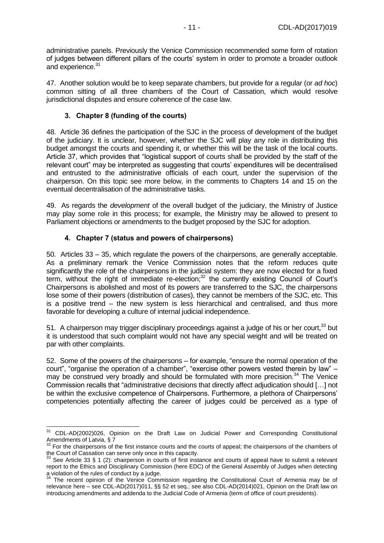administrative panels. Previously the Venice Commission recommended some form of rotation of judges between different pillars of the courts' system in order to promote a broader outlook and experience.<sup>31</sup>

47. Another solution would be to keep separate chambers, but provide for a regular (or *ad hoc*) common sitting of all three chambers of the Court of Cassation, which would resolve jurisdictional disputes and ensure coherence of the case law.

## **3. Chapter 8 (funding of the courts)**

<span id="page-10-0"></span>48. Article 36 defines the participation of the SJC in the process of development of the budget of the judiciary. It is unclear, however, whether the SJC will play any role in distributing this budget amongst the courts and spending it, or whether this will be the task of the local courts. Article 37, which provides that "logistical support of courts shall be provided by the staff of the relevant court" may be interpreted as suggesting that courts' expenditures will be decentralised and entrusted to the administrative officials of each court, under the supervision of the chairperson. On this topic see more below, in the comments to Chapters 14 and 15 on the eventual decentralisation of the administrative tasks.

49. As regards the *development* of the overall budget of the judiciary, the Ministry of Justice may play some role in this process; for example, the Ministry may be allowed to present to Parliament objections or amendments to the budget proposed by the SJC for adoption.

## **4. Chapter 7 (status and powers of chairpersons)**

<span id="page-10-1"></span>50. Articles 33 – 35, which regulate the powers of the chairpersons, are generally acceptable. As a preliminary remark the Venice Commission notes that the reform reduces quite significantly the role of the chairpersons in the judicial system: they are now elected for a fixed term, without the right of immediate re-election;<sup>32</sup> the currently existing Council of Court's Chairpersons is abolished and most of its powers are transferred to the SJC, the chairpersons lose some of their powers (distribution of cases), they cannot be members of the SJC, etc. This is a positive trend – the new system is less hierarchical and centralised, and thus more favorable for developing a culture of internal judicial independence.

51. A chairperson may trigger disciplinary proceedings against a judge of his or her court,<sup>33</sup> but it is understood that such complaint would not have any special weight and will be treated on par with other complaints.

52. Some of the powers of the chairpersons – for example, "ensure the normal operation of the court", "organise the operation of a chamber", "exercise other powers vested therein by law" – may be construed very broadly and should be formulated with more precision.<sup>34</sup> The Venice Commission recalls that "administrative decisions that directly affect adjudication should […] not be within the exclusive competence of Chairpersons. Furthermore, a plethora of Chairpersons' competencies potentially affecting the career of judges could be perceived as a type of

 $\overline{a}$ <sup>31</sup> CDL-AD(2002)026, Opinion on the Draft Law on Judicial Power and Corresponding Constitutional Amendments of Latvia, § 7

<sup>&</sup>lt;sup>32</sup> For the chairpersons of the first instance courts and the courts of appeal; the chairpersons of the chambers of the Court of Cassation can serve only once in this capacity.

See Article 33 § 1 (2): chairperson in courts of first instance and courts of appeal have to submit a relevant report to the Ethics and Disciplinary Commission (here EDC) of the General Assembly of Judges when detecting a violation of the rules of conduct by a judge.

<sup>&</sup>lt;sup>34</sup> The recent opinion of the Venice Commission regarding the Constitutional Court of Armenia may be of relevance here – see CDL-AD(2017)011, §§ 52 et seq.; see also CDL-AD(2014)021, Opinion on the Draft law on introducing amendments and addenda to the Judicial Code of Armenia (term of office of court presidents).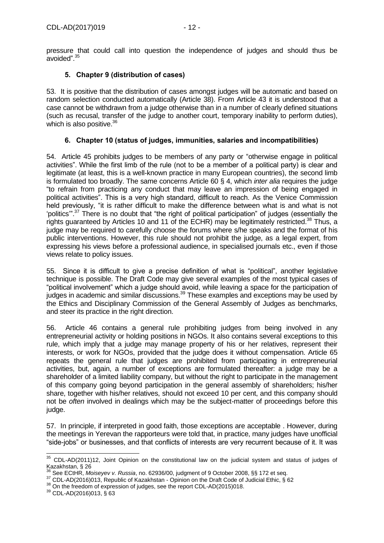pressure that could call into question the independence of judges and should thus be avoided". 35

## **5. Chapter 9 (distribution of cases)**

<span id="page-11-0"></span>53. It is positive that the distribution of cases amongst judges will be automatic and based on random selection conducted automatically (Article 38). From Article 43 it is understood that a case cannot be withdrawn from a judge otherwise than in a number of clearly defined situations (such as recusal, transfer of the judge to another court, temporary inability to perform duties), which is also positive.<sup>36</sup>

## **6. Chapter 10 (status of judges, immunities, salaries and incompatibilities)**

<span id="page-11-1"></span>54. Article 45 prohibits judges to be members of any party or "otherwise engage in political activities". While the first limb of the rule (not to be a member of a political party) is clear and legitimate (at least, this is a well-known practice in many European countries), the second limb is formulated too broadly. The same concerns Article 60 § 4, which *inter alia* requires the judge "to refrain from practicing any conduct that may leave an impression of being engaged in political activities". This is a very high standard, difficult to reach. As the Venice Commission held previously, "it is rather difficult to make the difference between what is and what is not 'politics".<sup>37</sup> There is no doubt that "the right of political participation" of judges (essentially the rights guaranteed by Articles 10 and 11 of the ECHR) may be legitimately restricted.<sup>38</sup> Thus, a judge may be required to carefully choose the forums where s/he speaks and the format of his public interventions. However, this rule should not prohibit the judge, as a legal expert, from expressing his views before a professional audience, in specialised journals etc., even if those views relate to policy issues.

55. Since it is difficult to give a precise definition of what is "political", another legislative technique is possible. The Draft Code may give several examples of the most typical cases of "political involvement" which a judge should avoid, while leaving a space for the participation of  $\mu$  iudges in academic and similar discussions.<sup>39</sup> These examples and exceptions may be used by the Ethics and Disciplinary Commission of the General Assembly of Judges as benchmarks, and steer its practice in the right direction.

56. Article 46 contains a general rule prohibiting judges from being involved in any entrepreneurial activity or holding positions in NGOs. It also contains several exceptions to this rule, which imply that a judge may manage property of his or her relatives, represent their interests, or work for NGOs, provided that the judge does it without compensation. Article 65 repeats the general rule that judges are prohibited from participating in entrepreneurial activities, but, again, a number of exceptions are formulated thereafter: a judge may be a shareholder of a limited liability company, but without the right to participate in the management of this company going beyond participation in the general assembly of shareholders; his/her share, together with his/her relatives, should not exceed 10 per cent, and this company should not be *often* involved in dealings which may be the subject-matter of proceedings before this judge.

57. In principle, if interpreted in good faith, those exceptions are acceptable . However, during the meetings in Yerevan the rapporteurs were told that, in practice, many judges have unofficial "side-jobs" or businesses, and that conflicts of interests are very recurrent because of it. It was

<sup>-</sup> $35$  CDL-AD(2011)12, Joint Opinion on the constitutional law on the judicial system and status of judges of Kazakhstan, § 26

<sup>36</sup> See ECtHR, *Moiseyev v. Russia*, no. 62936/00, judgment of 9 October 2008, §§ 172 et seq.

<sup>37</sup> CDL-AD(2016)013, Republic of Kazakhstan - Opinion on the Draft Code of Judicial Ethic, § 62

<sup>&</sup>lt;sup>38</sup> On the freedom of expression of judges, see the report CDL-AD(2015)018.

<sup>39</sup> CDL-AD(2016)013, § 63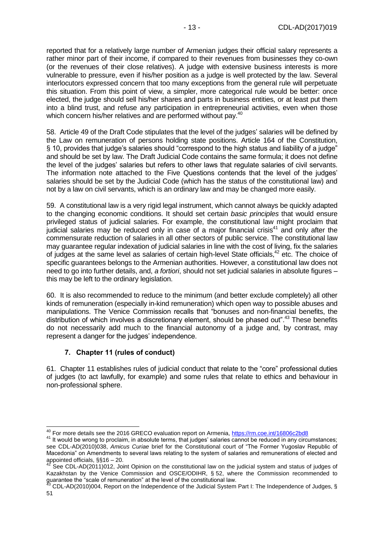reported that for a relatively large number of Armenian judges their official salary represents a rather minor part of their income, if compared to their revenues from businesses they co-own (or the revenues of their close relatives). A judge with extensive business interests is more vulnerable to pressure, even if his/her position as a judge is well protected by the law. Several interlocutors expressed concern that too many exceptions from the general rule will perpetuate this situation. From this point of view, a simpler, more categorical rule would be better: once elected, the judge should sell his/her shares and parts in business entities, or at least put them into a blind trust, and refuse any participation in entrepreneurial activities, even when those which concern his/her relatives and are performed without pay.<sup>40</sup>

58. Article 49 of the Draft Code stipulates that the level of the judges' salaries will be defined by the Law on remuneration of persons holding state positions. Article 164 of the Constitution, § 10, provides that judge's salaries should "correspond to the high status and liability of a judge" and should be set by law. The Draft Judicial Code contains the same formula; it does not define the level of the judges' salaries but refers to other laws that regulate salaries of civil servants. The information note attached to the Five Questions contends that the level of the judges' salaries should be set by the Judicial Code (which has the status of the constitutional law) and not by a law on civil servants, which is an ordinary law and may be changed more easily.

59. A constitutional law is a very rigid legal instrument, which cannot always be quickly adapted to the changing economic conditions. It should set certain *basic principles* that would ensure privileged status of judicial salaries. For example, the constitutional law might proclaim that iudicial salaries may be reduced only in case of a major financial crisis<sup>41</sup> and only after the commensurate reduction of salaries in all other sectors of public service. The constitutional law may guarantee regular indexation of judicial salaries in line with the cost of living, fix the salaries of judges at the same level as salaries of certain high-level State officials,<sup>42</sup> etc. The choice of specific guarantees belongs to the Armenian authorities. However, a constitutional law does not need to go into further details, and, *a fortiori*, should not set judicial salaries in absolute figures – this may be left to the ordinary legislation.

60. It is also recommended to reduce to the minimum (and better exclude completely) all other kinds of remuneration (especially in-kind remuneration) which open way to possible abuses and manipulations. The Venice Commission recalls that "bonuses and non-financial benefits, the distribution of which involves a discretionary element, should be phased out".<sup>43</sup> These benefits do not necessarily add much to the financial autonomy of a judge and, by contrast, may represent a danger for the judges' independence.

#### **7. Chapter 11 (rules of conduct)**

 $\overline{a}$ 

<span id="page-12-0"></span>61. Chapter 11 establishes rules of judicial conduct that relate to the "core" professional duties of judges (to act lawfully, for example) and some rules that relate to ethics and behaviour in non-professional sphere.

<sup>&</sup>lt;sup>40</sup> For more details see the 2016 GRECO evaluation report on Armenia,<https://rm.coe.int/16806c2bd8>

<sup>&</sup>lt;sup>41</sup> It would be wrong to proclaim, in absolute terms, that judges' salaries cannot be reduced in any circumstances; see CDL-AD(2010)038, *Amicus Curiae* brief for the Constitutional court of "The Former Yugoslav Republic of Macedonia" on Amendments to several laws relating to the system of salaries and remunerations of elected and appointed officials, §§16 – 20.

 $42$  See CDL-AD(2011)012, Joint Opinion on the constitutional law on the judicial system and status of judges of Kazakhstan by the Venice Commission and OSCE/ODIHR, § 52, where the Commission recommended to guarantee the "scale of remuneration" at the level of the constitutional law.

 $^3$  CDL-AD(2010)004, Report on the Independence of the Judicial System Part I: The Independence of Judges, § 51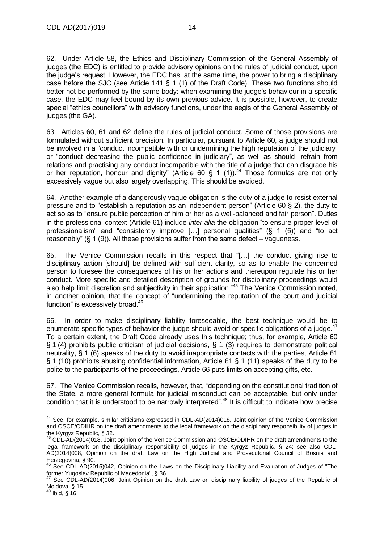62. Under Article 58, the Ethics and Disciplinary Commission of the General Assembly of judges (the EDC) is entitled to provide advisory opinions on the rules of judicial conduct, upon the judge's request. However, the EDC has, at the same time, the power to bring a disciplinary case before the SJC (see Article 141 § 1 (1) of the Draft Code). These two functions should better not be performed by the same body: when examining the judge's behaviour in a specific case, the EDC may feel bound by its own previous advice. It is possible, however, to create special "ethics councillors" with advisory functions, under the aegis of the General Assembly of judges (the GA).

63. Articles 60, 61 and 62 define the rules of judicial conduct. Some of those provisions are formulated without sufficient precision. In particular, pursuant to Article 60, a judge should not be involved in a "conduct incompatible with or undermining the high reputation of the judiciary" or "conduct decreasing the public confidence in judiciary", as well as should "refrain from relations and practising any conduct incompatible with the title of a judge that can disgrace his or her reputation, honour and dignity" (Article 60  $\frac{6}{1}$  1 (1)).<sup>44</sup> Those formulas are not only excessively vague but also largely overlapping. This should be avoided.

64. Another example of a dangerously vague obligation is the duty of a judge to resist external pressure and to "establish a reputation as an independent person" (Article 60 § 2), the duty to act so as to "ensure public perception of him or her as a well-balanced and fair person". Duties in the professional context (Article 61) include *inter alia* the obligation "to ensure proper level of professionalism" and "consistently improve […] personal qualities" (§ 1 (5)) and "to act reasonably" (§ 1 (9)). All these provisions suffer from the same defect – vagueness.

65. The Venice Commission recalls in this respect that "[…] the conduct giving rise to disciplinary action [should] be defined with sufficient clarity, so as to enable the concerned person to foresee the consequences of his or her actions and thereupon regulate his or her conduct. More specific and detailed description of grounds for disciplinary proceedings would also help limit discretion and subjectivity in their application."<sup>45</sup> The Venice Commission noted, in another opinion, that the concept of "undermining the reputation of the court and judicial function" is excessively broad.<sup>46</sup>

66. In order to make disciplinary liability foreseeable, the best technique would be to enumerate specific types of behavior the judge should avoid or specific obligations of a judge.<sup>47</sup> To a certain extent, the Draft Code already uses this technique; thus, for example, Article 60 § 1 (4) prohibits public criticism of judicial decisions, § 1 (3) requires to demonstrate political neutrality, § 1 (6) speaks of the duty to avoid inappropriate contacts with the parties, Article 61 § 1 (10) prohibits abusing confidential information, Article 61 § 1 (11) speaks of the duty to be polite to the participants of the proceedings, Article 66 puts limits on accepting gifts, etc.

67. The Venice Commission recalls, however, that, "depending on the constitutional tradition of the State, a more general formula for judicial misconduct can be acceptable, but only under condition that it is understood to be narrowly interpreted". <sup>48</sup> It is difficult to indicate how precise

 $\overline{a}$ <sup>44</sup> See, for example, similar criticisms expressed in CDL-AD(2014)018, Joint opinion of the Venice Commission and OSCE/ODIHR on the draft amendments to the legal framework on the disciplinary responsibility of judges in the Kyrgyz Republic, § 32.

<sup>&</sup>lt;sup>45</sup> CDL-AD(2014)018, Joint opinion of the Venice Commission and OSCE/ODIHR on the draft amendments to the legal framework on the disciplinary responsibility of judges in the Kyrgyz Republic, § 24; see also CDL-AD(2014)008, Opinion on the draft Law on the High Judicial and Prosecutorial Council of Bosnia and Herzegovina, § 90.

 $46$  See CDL-AD(2015)042, Opinion on the Laws on the Disciplinary Liability and Evaluation of Judges of "The former Yugoslav Republic of Macedonia", § 36.

See CDL-AD(2014)006, Joint Opinion on the draft Law on disciplinary liability of judges of the Republic of Moldova, § 15

<sup>48</sup> Ibid, § 16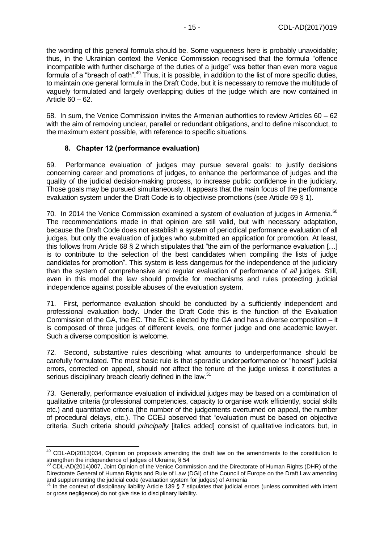the wording of this general formula should be. Some vagueness here is probably unavoidable; thus, in the Ukrainian context the Venice Commission recognised that the formula "offence incompatible with further discharge of the duties of a judge" was better than even more vague formula of a "breach of oath".<sup>49</sup> Thus, it is possible, in addition to the list of more specific duties, to maintain *one* general formula in the Draft Code, but it is necessary to remove the multitude of vaguely formulated and largely overlapping duties of the judge which are now contained in Article 60 – 62.

68. In sum, the Venice Commission invites the Armenian authorities to review Articles 60 – 62 with the aim of removing unclear, parallel or redundant obligations, and to define misconduct, to the maximum extent possible, with reference to specific situations.

#### **8. Chapter 12 (performance evaluation)**

<span id="page-14-0"></span>69. Performance evaluation of judges may pursue several goals: to justify decisions concerning career and promotions of judges, to enhance the performance of judges and the quality of the judicial decision-making process, to increase public confidence in the judiciary. Those goals may be pursued simultaneously. It appears that the main focus of the performance evaluation system under the Draft Code is to objectivise promotions (see Article 69 § 1).

70. In 2014 the Venice Commission examined a system of evaluation of judges in Armenia.<sup>50</sup> The recommendations made in that opinion are still valid, but with necessary adaptation, because the Draft Code does not establish a system of periodical performance evaluation of all judges, but only the evaluation of judges who submitted an application for promotion. At least, this follows from Article 68 § 2 which stipulates that "the aim of the performance evaluation […] is to contribute to the selection of the best candidates when compiling the lists of judge candidates for promotion". This system is less dangerous for the independence of the judiciary than the system of comprehensive and regular evaluation of performance of *all* judges. Still, even in this model the law should provide for mechanisms and rules protecting judicial independence against possible abuses of the evaluation system.

71. First, performance evaluation should be conducted by a sufficiently independent and professional evaluation body. Under the Draft Code this is the function of the Evaluation Commission of the GA, the EC. The EC is elected by the GA and has a diverse composition – it is composed of three judges of different levels, one former judge and one academic lawyer. Such a diverse composition is welcome.

72. Second, substantive rules describing what amounts to underperformance should be carefully formulated. The most basic rule is that sporadic underperformance or "honest" judicial errors, corrected on appeal, should not affect the tenure of the judge unless it constitutes a serious disciplinary breach clearly defined in the law.<sup>51</sup>

73. Generally, performance evaluation of individual judges may be based on a combination of qualitative criteria (professional competencies, capacity to organise work efficiently, social skills etc.) and quantitative criteria (the number of the judgements overturned on appeal, the number of procedural delays, etc.). The CCEJ observed that "evaluation must be based on objective criteria. Such criteria should *principally* [italics added] consist of qualitative indicators but, in

 $\overline{a}$ <sup>49</sup> CDL-AD(2013)034, Opinion on proposals amending the draft law on the amendments to the constitution to strengthen the independence of judges of Ukraine, § 54

 $50$  CDL-AD(2014)007, Joint Opinion of the Venice Commission and the Directorate of Human Rights (DHR) of the Directorate General of Human Rights and Rule of Law (DGI) of the Council of Europe on the Draft Law amending and supplementing the judicial code (evaluation system for judges) of Armenia

 $51$  In the context of disciplinary liability Article 139 § 7 stipulates that judicial errors (unless committed with intent or gross negligence) do not give rise to disciplinary liability.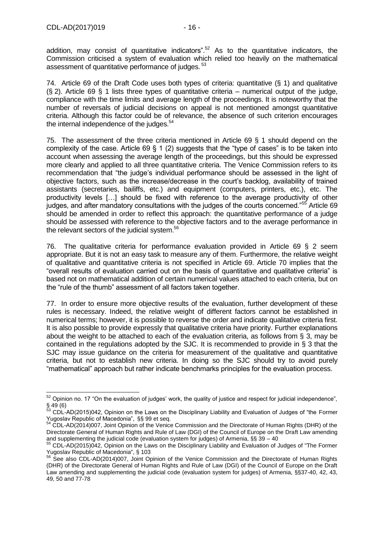addition, may consist of quantitative indicators".<sup>52</sup> As to the quantitative indicators, the Commission criticised a system of evaluation which relied too heavily on the mathematical assessment of quantitative performance of judges.<sup>53</sup>

74. Article 69 of the Draft Code uses both types of criteria: quantitative (§ 1) and qualitative  $(S, 2)$ . Article 69  $S$  1 lists three types of quantitative criteria – numerical output of the judge, compliance with the time limits and average length of the proceedings. It is noteworthy that the number of reversals of judicial decisions on appeal is not mentioned amongst quantitative criteria. Although this factor could be of relevance, the absence of such criterion encourages the internal independence of the judges.<sup>54</sup>

75. The assessment of the three criteria mentioned in Article 69 § 1 should depend on the complexity of the case. Article 69 § 1 (2) suggests that the "type of cases" is to be taken into account when assessing the average length of the proceedings, but this should be expressed more clearly and applied to all three quantitative criteria. The Venice Commission refers to its recommendation that "the judge's individual performance should be assessed in the light of objective factors, such as the increase/decrease in the court's backlog, availability of trained assistants (secretaries, bailiffs, etc.) and equipment (computers, printers, etc.), etc. The productivity levels […] should be fixed with reference to the average productivity of other judges, and after mandatory consultations with the judges of the courts concerned."<sup>55</sup> Article 69 should be amended in order to reflect this approach: the quantitative performance of a judge should be assessed with reference to the objective factors and to the average performance in the relevant sectors of the judicial system.<sup>56</sup>

76. The qualitative criteria for performance evaluation provided in Article 69 § 2 seem appropriate. But it is not an easy task to measure any of them. Furthermore, the relative weight of qualitative and quantitative criteria is not specified in Article 69. Article 70 implies that the "overall results of evaluation carried out on the basis of quantitative and qualitative criteria" is based not on mathematical addition of certain numerical values attached to each criteria, but on the "rule of the thumb" assessment of all factors taken together.

77. In order to ensure more objective results of the evaluation, further development of these rules is necessary. Indeed, the relative weight of different factors cannot be established in numerical terms; however, it is possible to reverse the order and indicate qualitative criteria first. It is also possible to provide expressly that qualitative criteria have priority. Further explanations about the weight to be attached to each of the evaluation criteria, as follows from § 3, may be contained in the regulations adopted by the SJC. It is recommended to provide in § 3 that the SJC may issue guidance on the criteria for measurement of the qualitative and quantitative criteria, but not to establish new criteria. In doing so the SJC should try to avoid purely "mathematical" approach but rather indicate benchmarks principles for the evaluation process.

<sup>-</sup> $52$  Opinion no. 17 "On the evaluation of judges' work, the quality of justice and respect for judicial independence", § 49 (6)

<sup>&</sup>lt;sup>53</sup> CDL-AD(2015)042, Opinion on the Laws on the Disciplinary Liability and Evaluation of Judges of "the Former Yugoslav Republic of Macedonia", §§ 99 et seq.

<sup>54</sup> CDL-AD(2014)007, Joint Opinion of the Venice Commission and the Directorate of Human Rights (DHR) of the Directorate General of Human Rights and Rule of Law (DGI) of the Council of Europe on the Draft Law amending and supplementing the judicial code (evaluation system for judges) of Armenia, §§ 39 – 40<br>55 CDL -AD(2015)042 Opinion are the t

<sup>55</sup> CDL-AD(2015)042, Opinion on the Laws on the Disciplinary Liability and Evaluation of Judges of "The Former Yugoslav Republic of Macedonia", § 103

<sup>&</sup>lt;sup>56</sup> See also CDL-AD(2014)007, Joint Opinion of the Venice Commission and the Directorate of Human Rights (DHR) of the Directorate General of Human Rights and Rule of Law (DGI) of the Council of Europe on the Draft Law amending and supplementing the judicial code (evaluation system for judges) of Armenia, §§37-40, 42, 43, 49, 50 and 77-78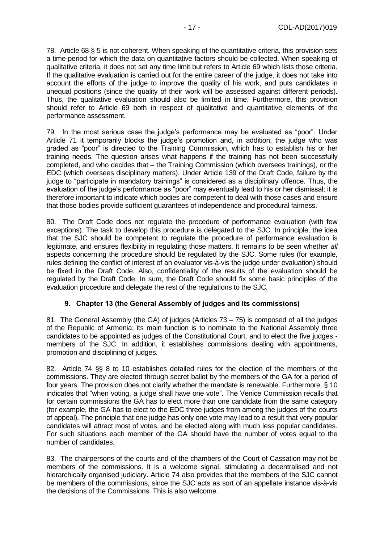78. Article 68 § 5 is not coherent. When speaking of the quantitative criteria, this provision sets a time-period for which the data on quantitative factors should be collected. When speaking of qualitative criteria, it does not set any time limit but refers to Article 69 which lists those criteria. If the qualitative evaluation is carried out for the entire career of the judge, it does not take into account the efforts of the judge to improve the quality of his work, and puts candidates in unequal positions (since the quality of their work will be assessed against different periods). Thus, the qualitative evaluation should also be limited in time. Furthermore, this provision should refer to Article 69 both in respect of qualitative and quantitative elements of the performance assessment.

79. In the most serious case the judge's performance may be evaluated as "poor". Under Article 71 it temporarily blocks the judge's promotion and, in addition, the judge who was graded as "poor" is directed to the Training Commission, which has to establish his or her training needs. The question arises what happens if the training has not been successfully completed, and who decides that – the Training Commission (which oversees trainings), or the EDC (which oversees disciplinary matters). Under Article 139 of the Draft Code, failure by the judge to "participate in mandatory trainings" is considered as a disciplinary offence. Thus, the evaluation of the judge's performance as "poor" may eventually lead to his or her dismissal; it is therefore important to indicate which bodies are competent to deal with those cases and ensure that those bodies provide sufficient guarantees of independence and procedural fairness.

80. The Draft Code does not regulate the procedure of performance evaluation (with few exceptions). The task to develop this procedure is delegated to the SJC. In principle, the idea that the SJC should be competent to regulate the procedure of performance evaluation is legitimate, and ensures flexibility in regulating those matters. It remains to be seen whether *all* aspects concerning the procedure should be regulated by the SJC. Some rules (for example, rules defining the conflict of interest of an evaluator vis-à-vis the judge under evaluation) should be fixed in the Draft Code. Also, confidentiality of the results of the evaluation should be regulated by the Draft Code. In sum, the Draft Code should fix some basic principles of the evaluation procedure and delegate the rest of the regulations to the SJC.

#### **9. Chapter 13 (the General Assembly of judges and its commissions)**

<span id="page-16-0"></span>81. The General Assembly (the GA) of judges (Articles 73 – 75) is composed of all the judges of the Republic of Armenia; its main function is to nominate to the National Assembly three candidates to be appointed as judges of the Constitutional Court, and to elect the five judges members of the SJC. In addition, it establishes commissions dealing with appointments, promotion and disciplining of judges.

82. Article 74 §§ 8 to 10 establishes detailed rules for the election of the members of the commissions. They are elected through secret ballot by the members of the GA for a period of four years. The provision does not clarify whether the mandate is renewable. Furthermore, § 10 indicates that "when voting, a judge shall have one vote". The Venice Commission recalls that for certain commissions the GA has to elect more than one candidate from the same category (for example, the GA has to elect to the EDC three judges from among the judges of the courts of appeal). The principle that one judge has only one vote may lead to a result that very popular candidates will attract most of votes, and be elected along with much less popular candidates. For such situations each member of the GA should have the number of votes equal to the number of candidates.

83. The chairpersons of the courts and of the chambers of the Court of Cassation may not be members of the commissions. It is a welcome signal, stimulating a decentralised and not hierarchically organised judiciary. Article 74 also provides that the members of the SJC cannot be members of the commissions, since the SJC acts as sort of an appellate instance vis-à-vis the decisions of the Commissions. This is also welcome.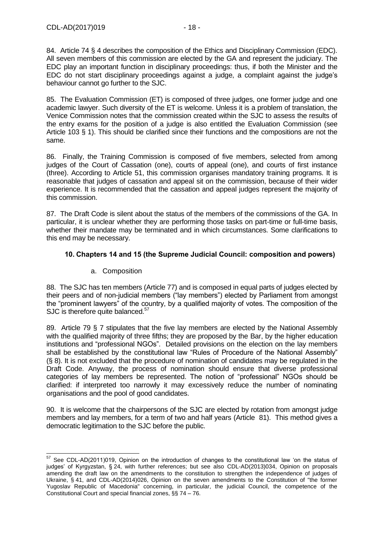84. Article 74 § 4 describes the composition of the Ethics and Disciplinary Commission (EDC). All seven members of this commission are elected by the GA and represent the judiciary. The EDC play an important function in disciplinary proceedings: thus, if both the Minister and the EDC do not start disciplinary proceedings against a judge, a complaint against the judge's behaviour cannot go further to the SJC.

85. The Evaluation Commission (ET) is composed of three judges, one former judge and one academic lawyer. Such diversity of the ET is welcome. Unless it is a problem of translation, the Venice Commission notes that the commission created within the SJC to assess the results of the entry exams for the position of a judge is also entitled the Evaluation Commission (see Article 103 § 1). This should be clarified since their functions and the compositions are not the same.

86. Finally, the Training Commission is composed of five members, selected from among judges of the Court of Cassation (one), courts of appeal (one), and courts of first instance (three). According to Article 51, this commission organises mandatory training programs. It is reasonable that judges of cassation and appeal sit on the commission, because of their wider experience. It is recommended that the cassation and appeal judges represent the majority of this commission.

87. The Draft Code is silent about the status of the members of the commissions of the GA. In particular, it is unclear whether they are performing those tasks on part-time or full-time basis, whether their mandate may be terminated and in which circumstances. Some clarifications to this end may be necessary.

## <span id="page-17-0"></span>**10. Chapters 14 and 15 (the Supreme Judicial Council: composition and powers)**

a. Composition

88. The SJC has ten members (Article 77) and is composed in equal parts of judges elected by their peers and of non-judicial members ("lay members") elected by Parliament from amongst the "prominent lawyers" of the country, by a qualified majority of votes. The composition of the SJC is therefore quite balanced.<sup>57</sup>

89. Article 79 § 7 stipulates that the five lay members are elected by the National Assembly with the qualified majority of three fifths; they are proposed by the Bar, by the higher education institutions and "professional NGOs". Detailed provisions on the election on the lay members shall be established by the constitutional law "Rules of Procedure of the National Assembly" (§ 8). It is not excluded that the procedure of nomination of candidates may be regulated in the Draft Code. Anyway, the process of nomination should ensure that diverse professional categories of lay members be represented. The notion of "professional" NGOs should be clarified: if interpreted too narrowly it may excessively reduce the number of nominating organisations and the pool of good candidates.

90. It is welcome that the chairpersons of the SJC are elected by rotation from amongst judge members and lay members, for a term of two and half years (Article 81). This method gives a democratic legitimation to the SJC before the public.

<sup>-</sup> $57$  See CDL-AD(2011)019, Opinion on the introduction of changes to the constitutional law 'on the status of judges' of Kyrgyzstan, § 24, with further references; but see also CDL-AD(2013)034, Opinion on proposals amending the draft law on the amendments to the constitution to strengthen the independence of judges of Ukraine, § 41, and CDL-AD(2014)026, Opinion on the seven amendments to the Constitution of "the former Yugoslav Republic of Macedonia" concerning, in particular, the judicial Council, the competence of the Constitutional Court and special financial zones, §§ 74 – 76.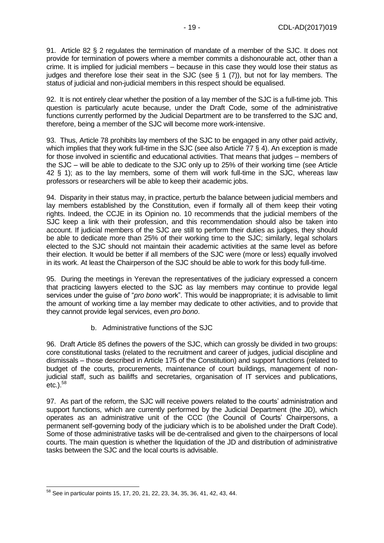91. Article 82 § 2 regulates the termination of mandate of a member of the SJC. It does not provide for termination of powers where a member commits a dishonourable act, other than a crime. It is implied for judicial members – because in this case they would lose their status as judges and therefore lose their seat in the SJC (see § 1 (7)), but not for lay members. The status of judicial and non-judicial members in this respect should be equalised.

92. It is not entirely clear whether the position of a lay member of the SJC is a full-time job. This question is particularly acute because, under the Draft Code, some of the administrative functions currently performed by the Judicial Department are to be transferred to the SJC and, therefore, being a member of the SJC will become more work-intensive.

93. Thus, Article 78 prohibits lay members of the SJC to be engaged in any other paid activity, which implies that they work full-time in the SJC (see also Article 77 § 4). An exception is made for those involved in scientific and educational activities. That means that judges – members of the SJC – will be able to dedicate to the SJC only up to 25% of their working time (see Article 42 § 1); as to the lay members, some of them will work full-time in the SJC, whereas law professors or researchers will be able to keep their academic jobs.

94. Disparity in their status may, in practice, perturb the balance between judicial members and lay members established by the Constitution, even if formally all of them keep their voting rights. Indeed, the CCJE in its Opinion no. 10 recommends that the judicial members of the SJC keep a link with their profession, and this recommendation should also be taken into account. If judicial members of the SJC are still to perform their duties as judges, they should be able to dedicate more than 25% of their working time to the SJC; similarly, legal scholars elected to the SJC should not maintain their academic activities at the same level as before their election. It would be better if all members of the SJC were (more or less) equally involved in its work. At least the Chairperson of the SJC should be able to work for this body full-time.

95. During the meetings in Yerevan the representatives of the judiciary expressed a concern that practicing lawyers elected to the SJC as lay members may continue to provide legal services under the guise of "*pro bono* work". This would be inappropriate; it is advisable to limit the amount of working time a lay member may dedicate to other activities, and to provide that they cannot provide legal services, even *pro bono*.

b. Administrative functions of the SJC

96. Draft Article 85 defines the powers of the SJC, which can grossly be divided in two groups: core constitutional tasks (related to the recruitment and career of judges, judicial discipline and dismissals – those described in Article 175 of the Constitution) and support functions (related to budget of the courts, procurements, maintenance of court buildings, management of nonjudicial staff, such as bailiffs and secretaries, organisation of IT services and publications, etc.).<sup>58</sup>

97. As part of the reform, the SJC will receive powers related to the courts' administration and support functions, which are currently performed by the Judicial Department (the JD), which operates as an administrative unit of the CCC (the Council of Courts' Chairpersons, a permanent self-governing body of the judiciary which is to be abolished under the Draft Code). Some of those administrative tasks will be de-centralised and given to the chairpersons of local courts. The main question is whether the liquidation of the JD and distribution of administrative tasks between the SJC and the local courts is advisable.

-

 $58$  See in particular points 15, 17, 20, 21, 22, 23, 34, 35, 36, 41, 42, 43, 44.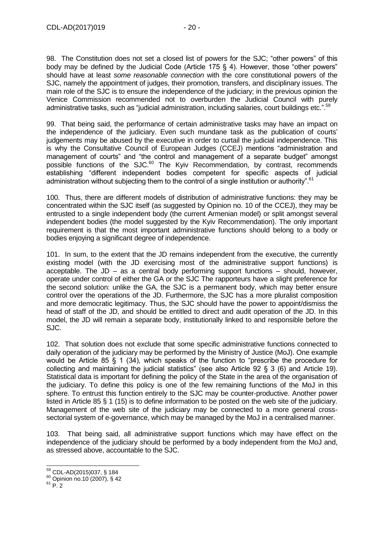98. The Constitution does not set a closed list of powers for the SJC; "other powers" of this body may be defined by the Judicial Code (Article 175 § 4). However, those "other powers" should have at least *some reasonable connection* with the core constitutional powers of the SJC, namely the appointment of judges, their promotion, transfers, and disciplinary issues. The main role of the SJC is to ensure the independence of the judiciary; in the previous opinion the Venice Commission recommended not to overburden the Judicial Council with purely administrative tasks, such as "judicial administration, including salaries, court buildings etc.".<sup>59</sup>

99. That being said, the performance of certain administrative tasks may have an impact on the independence of the judiciary. Even such mundane task as the publication of courts' judgements may be abused by the executive in order to curtail the judicial independence. This is why the Consultative Council of European Judges (CCEJ) mentions "administration and management of courts" and "the control and management of a separate budget" amongst possible functions of the SJC.<sup>60</sup> The Kyiv Recommendation, by contrast, recommends establishing "different independent bodies competent for specific aspects of judicial administration without subjecting them to the control of a single institution or authority".<sup>61</sup>

100. Thus, there are different models of distribution of administrative functions: they may be concentrated within the SJC itself (as suggested by Opinion no. 10 of the CCEJ), they may be entrusted to a single independent body (the current Armenian model) or split amongst several independent bodies (the model suggested by the Kyiv Recommendation). The only important requirement is that the most important administrative functions should belong to a body or bodies enjoying a significant degree of independence.

101. In sum, to the extent that the JD remains independent from the executive, the currently existing model (with the JD exercising most of the administrative support functions) is acceptable. The  $JD - as a$  central body performing support functions  $-$  should, however, operate under control of either the GA or the SJC The rapporteurs have a slight preference for the second solution: unlike the GA, the SJC is a permanent body, which may better ensure control over the operations of the JD. Furthermore, the SJC has a more pluralist composition and more democratic legitimacy. Thus, the SJC should have the power to appoint/dismiss the head of staff of the JD, and should be entitled to direct and audit operation of the JD. In this model, the JD will remain a separate body, institutionally linked to and responsible before the SJC.

102. That solution does not exclude that some specific administrative functions connected to daily operation of the judiciary may be performed by the Ministry of Justice (MoJ). One example would be Article 85 § 1 (34), which speaks of the function to "prescribe the procedure for collecting and maintaining the judicial statistics" (see also Article 92 § 3 (6) and Article 19). Statistical data is important for defining the policy of the State in the area of the organisation of the judiciary. To define this policy is one of the few remaining functions of the MoJ in this sphere. To entrust this function entirely to the SJC may be counter-productive. Another power listed in Article 85 § 1 (15) is to define information to be posted on the web site of the judiciary. Management of the web site of the judiciary may be connected to a more general crosssectorial system of e-governance, which may be managed by the MoJ in a centralised manner.

103. That being said, all administrative support functions which may have effect on the independence of the judiciary should be performed by a body independent from the MoJ and, as stressed above, accountable to the SJC.

<sup>-</sup><sup>59</sup> CDL-AD(2015)037, § 184

 $60$  Opinion no.10 (2007), § 42

 $61$  P. 2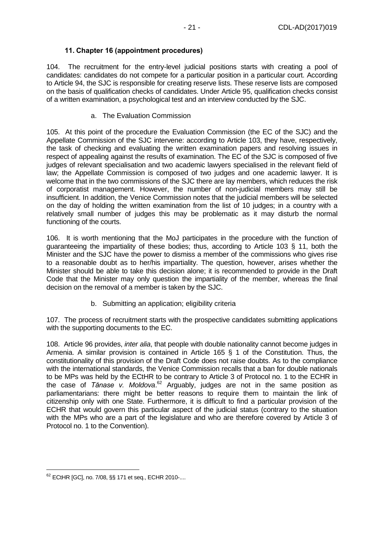### **11. Chapter 16 (appointment procedures)**

<span id="page-20-0"></span>104. The recruitment for the entry-level judicial positions starts with creating a pool of candidates: candidates do not compete for a particular position in a particular court. According to Article 94, the SJC is responsible for creating reserve lists. These reserve lists are composed on the basis of qualification checks of candidates. Under Article 95, qualification checks consist of a written examination, a psychological test and an interview conducted by the SJC.

#### a. The Evaluation Commission

105. At this point of the procedure the Evaluation Commission (the EC of the SJC) and the Appellate Commission of the SJC intervene: according to Article 103, they have, respectively, the task of checking and evaluating the written examination papers and resolving issues in respect of appealing against the results of examination. The EC of the SJC is composed of five judges of relevant specialisation and two academic lawyers specialised in the relevant field of law; the Appellate Commission is composed of two judges and one academic lawyer. It is welcome that in the two commissions of the SJC there are lay members, which reduces the risk of corporatist management. However, the number of non-judicial members may still be insufficient. In addition, the Venice Commission notes that the judicial members will be selected on the day of holding the written examination from the list of 10 judges; in a country with a relatively small number of judges this may be problematic as it may disturb the normal functioning of the courts.

106. It is worth mentioning that the MoJ participates in the procedure with the function of guaranteeing the impartiality of these bodies; thus, according to Article 103 § 11, both the Minister and the SJC have the power to dismiss a member of the commissions who gives rise to a reasonable doubt as to her/his impartiality. The question, however, arises whether the Minister should be able to take this decision alone; it is recommended to provide in the Draft Code that the Minister may only question the impartiality of the member, whereas the final decision on the removal of a member is taken by the SJC.

b. Submitting an application; eligibility criteria

107. The process of recruitment starts with the prospective candidates submitting applications with the supporting documents to the EC.

108. Article 96 provides, *inter alia*, that people with double nationality cannot become judges in Armenia. A similar provision is contained in Article 165 § 1 of the Constitution. Thus, the constitutionality of this provision of the Draft Code does not raise doubts. As to the compliance with the international standards, the Venice Commission recalls that a ban for double nationals to be MPs was held by the ECtHR to be contrary to Article 3 of Protocol no. 1 to the ECHR in the case of *Tănase v. Moldova*. <sup>62</sup> Arguably, judges are not in the same position as parliamentarians: there might be better reasons to require them to maintain the link of citizenship only with one State. Furthermore, it is difficult to find a particular provision of the ECHR that would govern this particular aspect of the judicial status (contrary to the situation with the MPs who are a part of the legislature and who are therefore covered by Article 3 of Protocol no. 1 to the Convention).

-

<sup>62</sup> ECtHR [GC], no. 7/08, §§ 171 et seq., ECHR 2010-....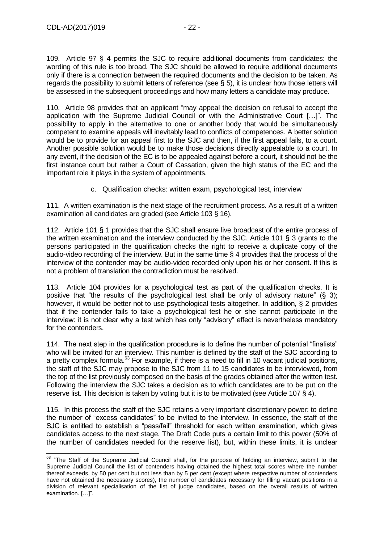109. Article 97 § 4 permits the SJC to require additional documents from candidates: the wording of this rule is too broad. The SJC should be allowed to require additional documents only if there is a connection between the required documents and the decision to be taken. As regards the possibility to submit letters of reference (see § 5), it is unclear how those letters will be assessed in the subsequent proceedings and how many letters a candidate may produce.

110. Article 98 provides that an applicant "may appeal the decision on refusal to accept the application with the Supreme Judicial Council or with the Administrative Court […]". The possibility to apply in the alternative to one or another body that would be simultaneously competent to examine appeals will inevitably lead to conflicts of competences. A better solution would be to provide for an appeal first to the SJC and then, if the first appeal fails, to a court. Another possible solution would be to make those decisions directly appealable to a court. In any event, if the decision of the EC is to be appealed against before a court, it should not be the first instance court but rather a Court of Cassation, given the high status of the EC and the important role it plays in the system of appointments.

c. Qualification checks: written exam, psychological test, interview

111. A written examination is the next stage of the recruitment process. As a result of a written examination all candidates are graded (see Article 103 § 16).

112. Article 101 § 1 provides that the SJC shall ensure live broadcast of the entire process of the written examination and the interview conducted by the SJC. Article 101 § 3 grants to the persons participated in the qualification checks the right to receive a duplicate copy of the audio-video recording of the interview. But in the same time § 4 provides that the process of the interview of the contender may be audio-video recorded only upon his or her consent. If this is not a problem of translation the contradiction must be resolved.

113. Article 104 provides for a psychological test as part of the qualification checks. It is positive that "the results of the psychological test shall be only of advisory nature" (§ 3); however, it would be better not to use psychological tests altogether. In addition, § 2 provides that if the contender fails to take a psychological test he or she cannot participate in the interview: it is not clear why a test which has only "advisory" effect is nevertheless mandatory for the contenders.

114. The next step in the qualification procedure is to define the number of potential "finalists" who will be invited for an interview. This number is defined by the staff of the SJC according to a pretty complex formula. $^{63}$  For example, if there is a need to fill in 10 vacant judicial positions, the staff of the SJC may propose to the SJC from 11 to 15 candidates to be interviewed, from the top of the list previously composed on the basis of the grades obtained after the written test. Following the interview the SJC takes a decision as to which candidates are to be put on the reserve list. This decision is taken by voting but it is to be motivated (see Article 107 § 4).

115. In this process the staff of the SJC retains a very important discretionary power: to define the number of "excess candidates" to be invited to the interview. In essence, the staff of the SJC is entitled to establish a "pass/fail" threshold for each written examination, which gives candidates access to the next stage. The Draft Code puts a certain limit to this power (50% of the number of candidates needed for the reserve list), but, within these limits, it is unclear

<sup>-</sup> $63$  "The Staff of the Supreme Judicial Council shall, for the purpose of holding an interview, submit to the Supreme Judicial Council the list of contenders having obtained the highest total scores where the number thereof exceeds, by 50 per cent but not less than by 5 per cent (except where respective number of contenders have not obtained the necessary scores), the number of candidates necessary for filling vacant positions in a division of relevant specialisation of the list of judge candidates, based on the overall results of written examination. […]".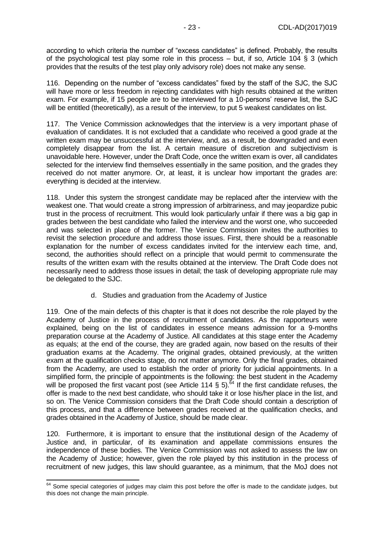according to which criteria the number of "excess candidates" is defined. Probably, the results of the psychological test play some role in this process – but, if so, Article 104 § 3 (which provides that the results of the test play only advisory role) does not make any sense.

116. Depending on the number of "excess candidates" fixed by the staff of the SJC, the SJC will have more or less freedom in rejecting candidates with high results obtained at the written exam. For example, if 15 people are to be interviewed for a 10-persons' reserve list, the SJC will be entitled (theoretically), as a result of the interview, to put 5 weakest candidates on list.

117. The Venice Commission acknowledges that the interview is a very important phase of evaluation of candidates. It is not excluded that a candidate who received a good grade at the written exam may be unsuccessful at the interview, and, as a result, be downgraded and even completely disappear from the list. A certain measure of discretion and subjectivism is unavoidable here. However, under the Draft Code, once the written exam is over, all candidates selected for the interview find themselves essentially in the same position, and the grades they received do not matter anymore. Or, at least, it is unclear how important the grades are: everything is decided at the interview.

118. Under this system the strongest candidate may be replaced after the interview with the weakest one. That would create a strong impression of arbitrariness, and may jeopardize pubic trust in the process of recruitment. This would look particularly unfair if there was a big gap in grades between the best candidate who failed the interview and the worst one, who succeeded and was selected in place of the former. The Venice Commission invites the authorities to revisit the selection procedure and address those issues. First, there should be a reasonable explanation for the number of excess candidates invited for the interview each time, and, second, the authorities should reflect on a principle that would permit to commensurate the results of the written exam with the results obtained at the interview. The Draft Code does not necessarily need to address those issues in detail; the task of developing appropriate rule may be delegated to the SJC.

#### d. Studies and graduation from the Academy of Justice

119. One of the main defects of this chapter is that it does not describe the role played by the Academy of Justice in the process of recruitment of candidates. As the rapporteurs were explained, being on the list of candidates in essence means admission for a 9-months preparation course at the Academy of Justice. All candidates at this stage enter the Academy as equals; at the end of the course, they are graded again, now based on the results of their graduation exams at the Academy. The original grades, obtained previously, at the written exam at the qualification checks stage, do not matter anymore. Only the final grades, obtained from the Academy, are used to establish the order of priority for judicial appointments. In a simplified form, the principle of appointments is the following: the best student in the Academy will be proposed the first vacant post (see Article 114  $\frac{1}{2}$  5).<sup>64</sup> If the first candidate refuses, the offer is made to the next best candidate, who should take it or lose his/her place in the list, and so on. The Venice Commission considers that the Draft Code should contain a description of this process, and that a difference between grades received at the qualification checks, and grades obtained in the Academy of Justice, should be made clear.

120. Furthermore, it is important to ensure that the institutional design of the Academy of Justice and, in particular, of its examination and appellate commissions ensures the independence of these bodies. The Venice Commission was not asked to assess the law on the Academy of Justice; however, given the role played by this institution in the process of recruitment of new judges, this law should guarantee, as a minimum, that the MoJ does not

 $\overline{a}$ 

 $64$  Some special categories of judges may claim this post before the offer is made to the candidate judges, but this does not change the main principle.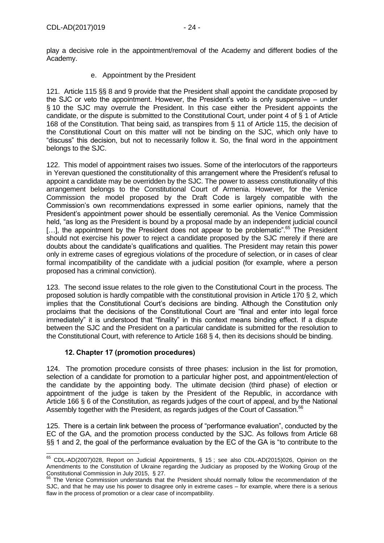play a decisive role in the appointment/removal of the Academy and different bodies of the Academy.

e. Appointment by the President

121. Article 115 §§ 8 and 9 provide that the President shall appoint the candidate proposed by the SJC or veto the appointment. However, the President's veto is only suspensive – under § 10 the SJC may overrule the President. In this case either the President appoints the candidate, or the dispute is submitted to the Constitutional Court, under point 4 of § 1 of Article 168 of the Constitution. That being said, as transpires from § 11 of Article 115, the decision of the Constitutional Court on this matter will not be binding on the SJC, which only have to "discuss" this decision, but not to necessarily follow it. So, the final word in the appointment belongs to the SJC.

122. This model of appointment raises two issues. Some of the interlocutors of the rapporteurs in Yerevan questioned the constitutionality of this arrangement where the President's refusal to appoint a candidate may be overridden by the SJC. The power to assess constitutionality of this arrangement belongs to the Constitutional Court of Armenia. However, for the Venice Commission the model proposed by the Draft Code is largely compatible with the Commission's own recommendations expressed in some earlier opinions, namely that the President's appointment power should be essentially ceremonial. As the Venice Commission held, "as long as the President is bound by a proposal made by an independent judicial council [...], the appointment by the President does not appear to be problematic<sup>", 65</sup> The President should not exercise his power to reject a candidate proposed by the SJC merely if there are doubts about the candidate's qualifications and qualities. The President may retain this power only in extreme cases of egregious violations of the procedure of selection, or in cases of clear formal incompatibility of the candidate with a judicial position (for example, where a person proposed has a criminal conviction).

123. The second issue relates to the role given to the Constitutional Court in the process. The proposed solution is hardly compatible with the constitutional provision in Article 170 § 2, which implies that the Constitutional Court's decisions are binding. Although the Constitution only proclaims that the decisions of the Constitutional Court are "final and enter into legal force immediately" it is understood that "finality" in this context means binding effect. If a dispute between the SJC and the President on a particular candidate is submitted for the resolution to the Constitutional Court, with reference to Article 168 § 4, then its decisions should be binding.

#### **12. Chapter 17 (promotion procedures)**

<span id="page-23-0"></span>124. The promotion procedure consists of three phases: inclusion in the list for promotion, selection of a candidate for promotion to a particular higher post, and appointment/election of the candidate by the appointing body. The ultimate decision (third phase) of election or appointment of the judge is taken by the President of the Republic, in accordance with Article 166 § 6 of the Constitution, as regards judges of the court of appeal, and by the National Assembly together with the President, as regards judges of the Court of Cassation.<sup>66</sup>

125. There is a certain link between the process of "performance evaluation", conducted by the EC of the GA, and the promotion process conducted by the SJC. As follows from Article 68 §§ 1 and 2, the goal of the performance evaluation by the EC of the GA is "to contribute to the

<sup>-</sup> $65$  CDL-AD(2007)028, Report on Judicial Appointments, § 15; see also CDL-AD(2015)026, Opinion on the Amendments to the Constitution of Ukraine regarding the Judiciary as proposed by the Working Group of the Constitutional Commission in July 2015, § 27.

<sup>&</sup>lt;sup>66</sup> The Venice Commission understands that the President should normally follow the recommendation of the SJC, and that he may use his power to disagree only in extreme cases – for example, where there is a serious flaw in the process of promotion or a clear case of incompatibility.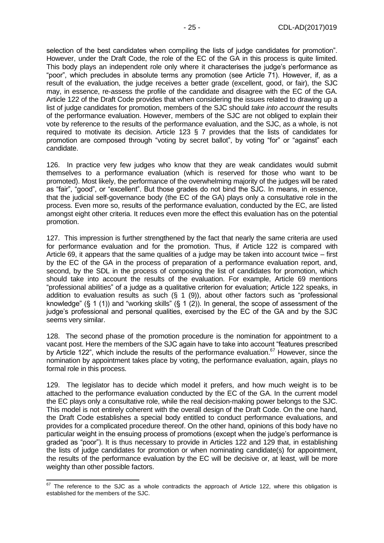selection of the best candidates when compiling the lists of judge candidates for promotion". However, under the Draft Code, the role of the EC of the GA in this process is quite limited. This body plays an independent role only where it characterises the judge's performance as "poor", which precludes in absolute terms any promotion (see Article 71). However, if, as a result of the evaluation, the judge receives a better grade (excellent, good, or fair), the SJC may, in essence, re-assess the profile of the candidate and disagree with the EC of the GA. Article 122 of the Draft Code provides that when considering the issues related to drawing up a list of judge candidates for promotion, members of the SJC should *take into account* the results of the performance evaluation. However, members of the SJC are not obliged to explain their vote by reference to the results of the performance evaluation, and the SJC, as a whole, is not required to motivate its decision. Article 123 § 7 provides that the lists of candidates for promotion are composed through "voting by secret ballot", by voting "for" or "against" each candidate.

126. In practice very few judges who know that they are weak candidates would submit themselves to a performance evaluation (which is reserved for those who want to be promoted). Most likely, the performance of the overwhelming majority of the judges will be rated as "fair", "good", or "excellent". But those grades do not bind the SJC. In means, in essence, that the judicial self-governance body (the EC of the GA) plays only a consultative role in the process. Even more so, results of the performance evaluation, conducted by the EC, are listed amongst eight other criteria. It reduces even more the effect this evaluation has on the potential promotion.

127. This impression is further strengthened by the fact that nearly the same criteria are used for performance evaluation and for the promotion. Thus, if Article 122 is compared with Article 69, it appears that the same qualities of a judge may be taken into account twice – first by the EC of the GA in the process of preparation of a performance evaluation report, and, second, by the SDL in the process of composing the list of candidates for promotion, which should take into account the results of the evaluation. For example, Article 69 mentions "professional abilities" of a judge as a qualitative criterion for evaluation; Article 122 speaks, in addition to evaluation results as such  $(\S 1 (9))$ , about other factors such as "professional knowledge" (§ 1 (1)) and "working skills" (§ 1 (2)). In general, the scope of assessment of the judge's professional and personal qualities, exercised by the EC of the GA and by the SJC seems very similar.

128. The second phase of the promotion procedure is the nomination for appointment to a vacant post. Here the members of the SJC again have to take into account "features prescribed by Article 122", which include the results of the performance evaluation.<sup>67</sup> However, since the nomination by appointment takes place by voting, the performance evaluation, again, plays no formal role in this process.

129. The legislator has to decide which model it prefers, and how much weight is to be attached to the performance evaluation conducted by the EC of the GA. In the current model the EC plays only a consultative role, while the real decision-making power belongs to the SJC. This model is not entirely coherent with the overall design of the Draft Code. On the one hand, the Draft Code establishes a special body entitled to conduct performance evaluations, and provides for a complicated procedure thereof. On the other hand, opinions of this body have no particular weight in the ensuing process of promotions (except when the judge's performance is graded as "poor"). It is thus necessary to provide in Articles 122 and 129 that, in establishing the lists of judge candidates for promotion or when nominating candidate(s) for appointment, the results of the performance evaluation by the EC will be decisive or, at least, will be more weighty than other possible factors.

 $\overline{a}$ 

 $67$  The reference to the SJC as a whole contradicts the approach of Article 122, where this obligation is established for the members of the SJC.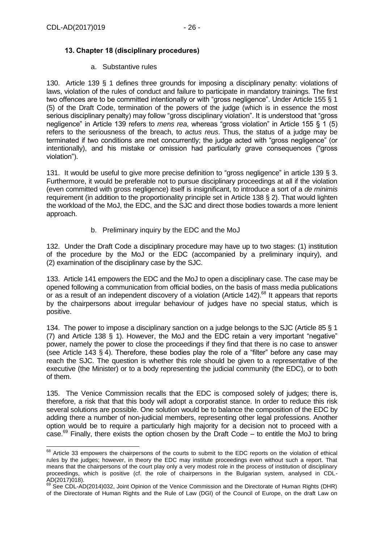## <span id="page-25-0"></span>**13. Chapter 18 (disciplinary procedures)**

#### a. Substantive rules

130. Article 139 § 1 defines three grounds for imposing a disciplinary penalty: violations of laws, violation of the rules of conduct and failure to participate in mandatory trainings. The first two offences are to be committed intentionally or with "gross negligence". Under Article 155 § 1 (5) of the Draft Code, termination of the powers of the judge (which is in essence the most serious disciplinary penalty) may follow "gross disciplinary violation". It is understood that "gross negligence" in Article 139 refers to *mens rea*, whereas "gross violation" in Article 155 § 1 (5) refers to the seriousness of the breach, to *actus reus*. Thus, the status of a judge may be terminated if two conditions are met concurrently; the judge acted with "gross negligence" (or intentionally), and his mistake or omission had particularly grave consequences ("gross violation").

131. It would be useful to give more precise definition to "gross negligence" in article 139 § 3. Furthermore, it would be preferable not to pursue disciplinary proceedings at all if the violation (even committed with gross negligence) itself is insignificant, to introduce a sort of a *de minimis* requirement (in addition to the proportionality principle set in Article 138 § 2). That would lighten the workload of the MoJ, the EDC, and the SJC and direct those bodies towards a more lenient approach.

b. Preliminary inquiry by the EDC and the MoJ

132. Under the Draft Code a disciplinary procedure may have up to two stages: (1) institution of the procedure by the MoJ or the EDC (accompanied by a preliminary inquiry), and (2) examination of the disciplinary case by the SJC.

133. Article 141 empowers the EDC and the MoJ to open a disciplinary case. The case may be opened following a communication from official bodies, on the basis of mass media publications or as a result of an independent discovery of a violation (Article 142).<sup>68</sup> It appears that reports by the chairpersons about irregular behaviour of judges have no special status, which is positive.

134. The power to impose a disciplinary sanction on a judge belongs to the SJC (Article 85 § 1 (7) and Article 138 § 1). However, the MoJ and the EDC retain a very important "negative" power, namely the power to close the proceedings if they find that there is no case to answer (see Article 143 § 4). Therefore, these bodies play the role of a "filter" before any case may reach the SJC. The question is whether this role should be given to a representative of the executive (the Minister) or to a body representing the judicial community (the EDC), or to both of them.

135. The Venice Commission recalls that the EDC is composed solely of judges; there is, therefore, a risk that that this body will adopt a corporatist stance. In order to reduce this risk several solutions are possible. One solution would be to balance the composition of the EDC by adding there a number of non-judicial members, representing other legal professions. Another option would be to require a particularly high majority for a decision not to proceed with a case.<sup>69</sup> Finally, there exists the option chosen by the Draft Code – to entitle the MoJ to bring

 $\overline{a}$  $68$  Article 33 empowers the chairpersons of the courts to submit to the EDC reports on the violation of ethical rules by the judges; however, in theory the EDC may institute proceedings even without such a report. That means that the chairpersons of the court play only a very modest role in the process of institution of disciplinary proceedings, which is positive (cf. the role of chairpersons in the Bulgarian system, analysed in CDL-AD(2017)018).

<sup>69</sup> See CDL-AD(2014)032, Joint Opinion of the Venice Commission and the Directorate of Human Rights (DHR) of the Directorate of Human Rights and the Rule of Law (DGI) of the Council of Europe, on the draft Law on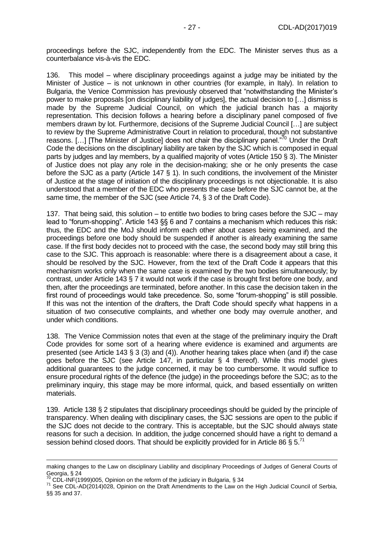proceedings before the SJC, independently from the EDC. The Minister serves thus as a counterbalance vis-à-vis the EDC.

136. This model – where disciplinary proceedings against a judge may be initiated by the Minister of Justice – is not unknown in other countries (for example, in Italy). In relation to Bulgaria, the Venice Commission has previously observed that "notwithstanding the Minister's power to make proposals [on disciplinary liability of judges], the actual decision to […] dismiss is made by the Supreme Judicial Council, on which the judicial branch has a majority representation. This decision follows a hearing before a disciplinary panel composed of five members drawn by lot. Furthermore, decisions of the Supreme Judicial Council […] are subject to review by the Supreme Administrative Court in relation to procedural, though not substantive reasons. [...] [The Minister of Justice] does not chair the disciplinary panel."<sup>70</sup> Under the Draft Code the decisions on the disciplinary liability are taken by the SJC which is composed in equal parts by judges and lay members, by a qualified majority of votes (Article 150 § 3). The Minister of Justice does not play any role in the decision-making; she or he only presents the case before the SJC as a party (Article 147 § 1). In such conditions, the involvement of the Minister of Justice at the stage of initiation of the disciplinary proceedings is not objectionable. It is also understood that a member of the EDC who presents the case before the SJC cannot be, at the same time, the member of the SJC (see Article 74, § 3 of the Draft Code).

137. That being said, this solution – to entitle two bodies to bring cases before the SJC – may lead to "forum-shopping". Article 143 §§ 6 and 7 contains a mechanism which reduces this risk: thus, the EDC and the MoJ should inform each other about cases being examined, and the proceedings before one body should be suspended if another is already examining the same case. If the first body decides not to proceed with the case, the second body may still bring this case to the SJC. This approach is reasonable: where there is a disagreement about a case, it should be resolved by the SJC. However, from the text of the Draft Code it appears that this mechanism works only when the same case is examined by the two bodies simultaneously; by contrast, under Article 143 § 7 it would not work if the case is brought first before one body, and then, after the proceedings are terminated, before another. In this case the decision taken in the first round of proceedings would take precedence. So, some "forum-shopping" is still possible. If this was not the intention of the drafters, the Draft Code should specify what happens in a situation of two consecutive complaints, and whether one body may overrule another, and under which conditions.

138. The Venice Commission notes that even at the stage of the preliminary inquiry the Draft Code provides for some sort of a hearing where evidence is examined and arguments are presented (see Article 143 § 3 (3) and (4)). Another hearing takes place when (and if) the case goes before the SJC (see Article 147, in particular § 4 thereof). While this model gives additional guarantees to the judge concerned, it may be too cumbersome. It would suffice to ensure procedural rights of the defence (the judge) in the proceedings before the SJC; as to the preliminary inquiry, this stage may be more informal, quick, and based essentially on written materials.

139. Article 138 § 2 stipulates that disciplinary proceedings should be guided by the principle of transparency. When dealing with disciplinary cases, the SJC sessions are open to the public if the SJC does not decide to the contrary. This is acceptable, but the SJC should always state reasons for such a decision. In addition, the judge concerned should have a right to demand a session behind closed doors. That should be explicitly provided for in Article 86  $\S 5$ .<sup>71</sup>

-

making changes to the Law on disciplinary Liability and disciplinary Proceedings of Judges of General Courts of Georgia, § 24

 $^{70}$  CDL-INF(1999)005, Opinion on the reform of the judiciary in Bulgaria, § 34

<sup>&</sup>lt;sup>71</sup> See CDL-AD(2014)028, Opinion on the Draft Amendments to the Law on the High Judicial Council of Serbia, §§ 35 and 37.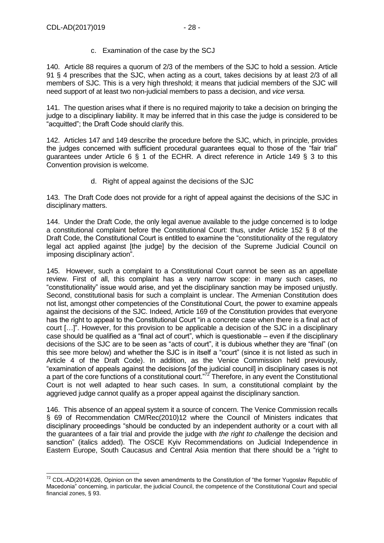c. Examination of the case by the SCJ

140. Article 88 requires a quorum of 2/3 of the members of the SJC to hold a session. Article 91 § 4 prescribes that the SJC, when acting as a court, takes decisions by at least 2/3 of all members of SJC. This is a very high threshold; it means that judicial members of the SJC will need support of at least two non-judicial members to pass a decision, and *vice versa.*

141. The question arises what if there is no required majority to take a decision on bringing the judge to a disciplinary liability. It may be inferred that in this case the judge is considered to be "acquitted"; the Draft Code should clarify this.

142. Articles 147 and 149 describe the procedure before the SJC, which, in principle, provides the judges concerned with sufficient procedural guarantees equal to those of the "fair trial" guarantees under Article 6 § 1 of the ECHR. A direct reference in Article 149 § 3 to this Convention provision is welcome.

d. Right of appeal against the decisions of the SJC

143. The Draft Code does not provide for a right of appeal against the decisions of the SJC in disciplinary matters.

144. Under the Draft Code, the only legal avenue available to the judge concerned is to lodge a constitutional complaint before the Constitutional Court: thus, under Article 152 § 8 of the Draft Code, the Constitutional Court is entitled to examine the "constitutionality of the regulatory legal act applied against [the judge] by the decision of the Supreme Judicial Council on imposing disciplinary action".

145. However, such a complaint to a Constitutional Court cannot be seen as an appellate review. First of all, this complaint has a very narrow scope: in many such cases, no "constitutionality" issue would arise, and yet the disciplinary sanction may be imposed unjustly. Second, constitutional basis for such a complaint is unclear. The Armenian Constitution does not list, amongst other competencies of the Constitutional Court, the power to examine appeals against the decisions of the SJC. Indeed, Article 169 of the Constitution provides that everyone has the right to appeal to the Constitutional Court "in a concrete case when there is a final act of court […]". However, for this provision to be applicable a decision of the SJC in a disciplinary case should be qualified as a "final act of court", which is questionable – even if the disciplinary decisions of the SJC are to be seen as "acts of court", it is dubious whether they are "final" (on this see more below) and whether the SJC is in itself a "court" (since it is not listed as such in Article 4 of the Draft Code). In addition, as the Venice Commission held previously, "examination of appeals against the decisions [of the judicial council] in disciplinary cases is not a part of the core functions of a constitutional court."<sup>72</sup> Therefore, in any event the Constitutional Court is not well adapted to hear such cases. In sum, a constitutional complaint by the aggrieved judge cannot qualify as a proper appeal against the disciplinary sanction.

146. This absence of an appeal system it a source of concern. The Venice Commission recalls § 69 of Recommendation CM/Rec(2010)12 where the Council of Ministers indicates that disciplinary proceedings "should be conducted by an independent authority or a court with all the guarantees of a fair trial and provide the judge with *the right to challenge* the decision and sanction" (italics added). The OSCE Kyiv Recommendations on Judicial Independence in Eastern Europe, South Caucasus and Central Asia mention that there should be a "right to

<sup>-</sup> $72$  CDL-AD(2014)026, Opinion on the seven amendments to the Constitution of "the former Yugoslav Republic of Macedonia" concerning, in particular, the judicial Council, the competence of the Constitutional Court and special financial zones, § 93.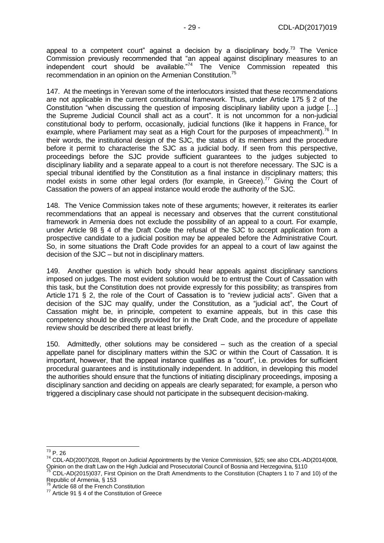appeal to a competent court" against a decision by a disciplinary body.<sup>73</sup> The Venice Commission previously recommended that "an appeal against disciplinary measures to an independent court should be available."<sup>74</sup> The Venice Commission repeated this recommendation in an opinion on the Armenian Constitution.<sup>75</sup>

147. At the meetings in Yerevan some of the interlocutors insisted that these recommendations are not applicable in the current constitutional framework. Thus, under Article 175 § 2 of the Constitution "when discussing the question of imposing disciplinary liability upon a judge […] the Supreme Judicial Council shall act as a court". It is not uncommon for a non-judicial constitutional body to perform, occasionally, judicial functions (like it happens in France, for example, where Parliament may seat as a High Court for the purposes of impeachment).<sup>76</sup> In their words, the institutional design of the SJC, the status of its members and the procedure before it permit to characterise the SJC as a judicial body. If seen from this perspective, proceedings before the SJC provide sufficient guarantees to the judges subjected to disciplinary liability and a separate appeal to a court is not therefore necessary. The SJC is a special tribunal identified by the Constitution as a final instance in disciplinary matters; this model exists in some other legal orders (for example, in Greece).<sup>77</sup> Giving the Court of Cassation the powers of an appeal instance would erode the authority of the SJC.

148. The Venice Commission takes note of these arguments; however, it reiterates its earlier recommendations that an appeal is necessary and observes that the current constitutional framework in Armenia does not exclude the possibility of an appeal to a court. For example, under Article 98 § 4 of the Draft Code the refusal of the SJC to accept application from a prospective candidate to a judicial position may be appealed before the Administrative Court. So, in some situations the Draft Code provides for an appeal to a court of law against the decision of the SJC – but not in disciplinary matters.

149. Another question is which body should hear appeals against disciplinary sanctions imposed on judges. The most evident solution would be to entrust the Court of Cassation with this task, but the Constitution does not provide expressly for this possibility; as transpires from Article 171 § 2, the role of the Court of Cassation is to "review judicial acts". Given that a decision of the SJC may qualify, under the Constitution, as a "judicial act", the Court of Cassation might be, in principle, competent to examine appeals, but in this case this competency should be directly provided for in the Draft Code, and the procedure of appellate review should be described there at least briefly.

150. Admittedly, other solutions may be considered – such as the creation of a special appellate panel for disciplinary matters within the SJC or within the Court of Cassation. It is important, however, that the appeal instance qualifies as a "court", i.e. provides for sufficient procedural guarantees and is institutionally independent. In addition, in developing this model the authorities should ensure that the functions of initiating disciplinary proceedings, imposing a disciplinary sanction and deciding on appeals are clearly separated; for example, a person who triggered a disciplinary case should not participate in the subsequent decision-making.

 $\overline{\phantom{a}}$  $^{73}$  P. 26

<sup>74</sup> CDL-AD(2007)028, Report on Judicial Appointments by the Venice Commission, §25; see also CDL-AD(2014)008, Opinion on the draft Law on the High Judicial and Prosecutorial Council of Bosnia and Herzegovina, §110

<sup>&</sup>lt;sup>75</sup> CDL-AD(2015)037, First Opinion on the Draft Amendments to the Constitution (Chapters 1 to 7 and 10) of the Republic of Armenia, § 153

<sup>&</sup>lt;sup>76</sup> Article 68 of the French Constitution

 $77$  Article 91 § 4 of the Constitution of Greece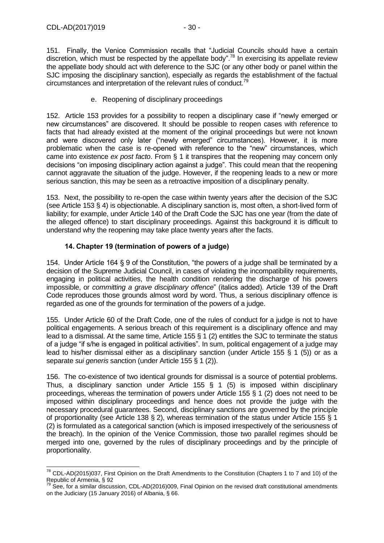-

151. Finally, the Venice Commission recalls that "Judicial Councils should have a certain discretion, which must be respected by the appellate body".<sup>78</sup> In exercising its appellate review the appellate body should act with deference to the SJC (or any other body or panel within the SJC imposing the disciplinary sanction), especially as regards the establishment of the factual circumstances and interpretation of the relevant rules of conduct.<sup>79</sup>

#### e. Reopening of disciplinary proceedings

152. Article 153 provides for a possibility to reopen a disciplinary case if "newly emerged or new circumstances" are discovered. It should be possible to reopen cases with reference to facts that had already existed at the moment of the original proceedings but were not known and were discovered only later ("newly emerged" circumstances). However, it is more problematic when the case is re-opened with reference to the "new" circumstances, which came into existence *ex post facto*. From § 1 it transpires that the reopening may concern only decisions "on imposing disciplinary action against a judge". This could mean that the reopening cannot aggravate the situation of the judge. However, if the reopening leads to a new or more serious sanction, this may be seen as a retroactive imposition of a disciplinary penalty.

153. Next, the possibility to re-open the case within twenty years after the decision of the SJC (see Article 153 § 4) is objectionable. A disciplinary sanction is, most often, a short-lived form of liability; for example, under Article 140 of the Draft Code the SJC has one year (from the date of the alleged offence) to start disciplinary proceedings. Against this background it is difficult to understand why the reopening may take place twenty years after the facts.

#### **14. Chapter 19 (termination of powers of a judge)**

<span id="page-29-0"></span>154. Under Article 164 § 9 of the Constitution, "the powers of a judge shall be terminated by a decision of the Supreme Judicial Council, in cases of violating the incompatibility requirements, engaging in political activities, the health condition rendering the discharge of his powers impossible, or *committing a grave disciplinary offence*" (italics added). Article 139 of the Draft Code reproduces those grounds almost word by word. Thus, a serious disciplinary offence is regarded as one of the grounds for termination of the powers of a judge.

155. Under Article 60 of the Draft Code, one of the rules of conduct for a judge is not to have political engagements. A serious breach of this requirement is a disciplinary offence and may lead to a dismissal. At the same time, Article 155 § 1 (2) entitles the SJC to terminate the status of a judge "if s/he is engaged in political activities". In sum, political engagement of a judge may lead to his/her dismissal either as a disciplinary sanction (under Article 155 § 1 (5)) or as a separate *sui generis* sanction (under Article 155 § 1 (2)).

156. The co-existence of two identical grounds for dismissal is a source of potential problems. Thus, a disciplinary sanction under Article 155  $\S$  1 (5) is imposed within disciplinary proceedings, whereas the termination of powers under Article 155 § 1 (2) does not need to be imposed within disciplinary proceedings and hence does not provide the judge with the necessary procedural guarantees. Second, disciplinary sanctions are governed by the principle of proportionality (see Article 138 § 2), whereas termination of the status under Article 155 § 1 (2) is formulated as a categorical sanction (which is imposed irrespectively of the seriousness of the breach). In the opinion of the Venice Commission, those two parallel regimes should be merged into one, governed by the rules of disciplinary proceedings and by the principle of proportionality.

 $^{78}$  CDL-AD(2015)037, First Opinion on the Draft Amendments to the Constitution (Chapters 1 to 7 and 10) of the Republic of Armenia, § 92

 $79$  See, for a similar discussion, CDL-AD(2016)009, Final Opinion on the revised draft constitutional amendments on the Judiciary (15 January 2016) of Albania, § 66.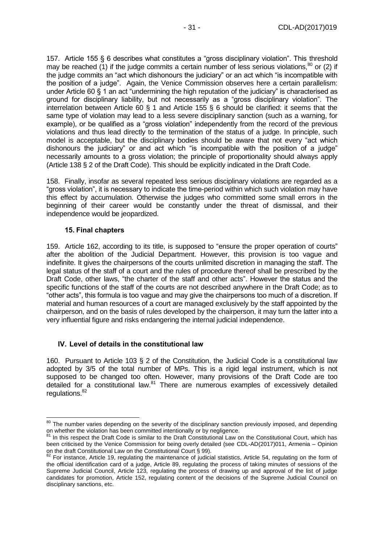157. Article 155 § 6 describes what constitutes a "gross disciplinary violation". This threshold may be reached (1) if the judge commits a certain number of less serious violations,  $80$  or (2) if the judge commits an "act which dishonours the judiciary" or an act which "is incompatible with the position of a judge". Again, the Venice Commission observes here a certain parallelism: under Article 60 § 1 an act "undermining the high reputation of the judiciary" is characterised as ground for disciplinary liability, but not necessarily as a "gross disciplinary violation". The interrelation between Article 60 § 1 and Article 155 § 6 should be clarified: it seems that the same type of violation may lead to a less severe disciplinary sanction (such as a warning, for example), or be qualified as a "gross violation" independently from the record of the previous violations and thus lead directly to the termination of the status of a judge. In principle, such model is acceptable, but the disciplinary bodies should be aware that not every "act which dishonours the judiciary" or and act which "is incompatible with the position of a judge" necessarily amounts to a gross violation; the principle of proportionality should always apply (Article 138 § 2 of the Draft Code). This should be explicitly indicated in the Draft Code.

158. Finally, insofar as several repeated less serious disciplinary violations are regarded as a "gross violation", it is necessary to indicate the time-period within which such violation may have this effect by accumulation. Otherwise the judges who committed some small errors in the beginning of their career would be constantly under the threat of dismissal, and their independence would be jeopardized.

#### **15. Final chapters**

-

<span id="page-30-0"></span>159. Article 162, according to its title, is supposed to "ensure the proper operation of courts" after the abolition of the Judicial Department. However, this provision is too vague and indefinite. It gives the chairpersons of the courts unlimited discretion in managing the staff. The legal status of the staff of a court and the rules of procedure thereof shall be prescribed by the Draft Code, other laws, "the charter of the staff and other acts". However the status and the specific functions of the staff of the courts are not described anywhere in the Draft Code; as to "other acts", this formula is too vague and may give the chairpersons too much of a discretion. If material and human resources of a court are managed exclusively by the staff appointed by the chairperson, and on the basis of rules developed by the chairperson, it may turn the latter into a very influential figure and risks endangering the internal judicial independence.

#### <span id="page-30-1"></span>**IV. Level of details in the constitutional law**

160. Pursuant to Article 103 § 2 of the Constitution, the Judicial Code is a constitutional law adopted by 3/5 of the total number of MPs. This is a rigid legal instrument, which is not supposed to be changed too often. However, many provisions of the Draft Code are too detailed for a constitutional law. $81$  There are numerous examples of excessively detailed regulations.<sup>82</sup>

<sup>&</sup>lt;sup>80</sup> The number varies depending on the severity of the disciplinary sanction previously imposed, and depending on whether the violation has been committed intentionally or by negligence.

<sup>&</sup>lt;sup>81</sup> In this respect the Draft Code is similar to the Draft Constitutional Law on the Constitutional Court, which has been criticised by the Venice Commission for being overly detailed (see CDL-AD(2017)011, Armenia – Opinion on the draft Constitutional Law on the Constitutional Court § 99).

 $82$  For instance, Article 19, regulating the maintenance of judicial statistics, Article 54, regulating on the form of the official identification card of a judge, Article 89, regulating the process of taking minutes of sessions of the Supreme Judicial Council, Article 123, regulating the process of drawing up and approval of the list of judge candidates for promotion, Article 152, regulating content of the decisions of the Supreme Judicial Council on disciplinary sanctions, etc.